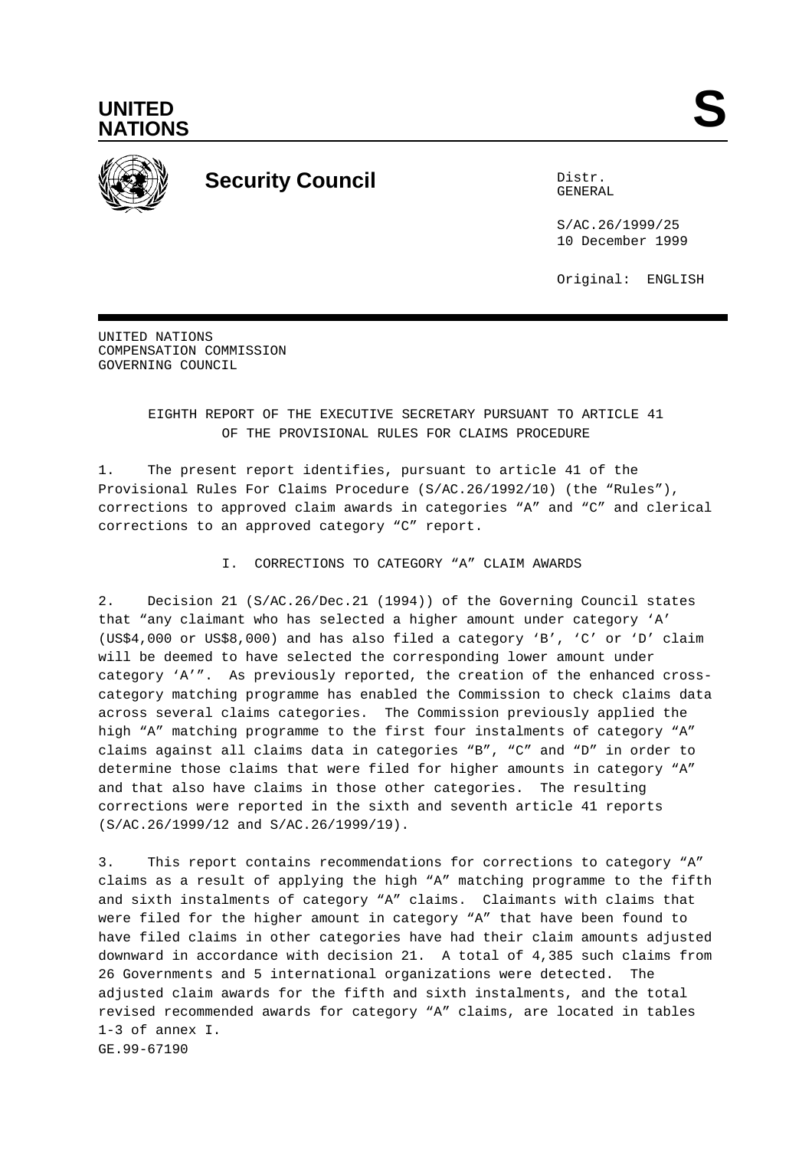



# **Security Council** Distribution of the Distribution of the Distribution of the Distribution of the Distribution of the Distribution of the Distribution of the Distribution of the Distribution of the Distribution of the Dis

GENERAL

S/AC.26/1999/25 10 December 1999

Original: ENGLISH

UNITED NATIONS COMPENSATION COMMISSION GOVERNING COUNCIL

### EIGHTH REPORT OF THE EXECUTIVE SECRETARY PURSUANT TO ARTICLE 41 OF THE PROVISIONAL RULES FOR CLAIMS PROCEDURE

1. The present report identifies, pursuant to article 41 of the Provisional Rules For Claims Procedure (S/AC.26/1992/10) (the "Rules"), corrections to approved claim awards in categories "A" and "C" and clerical corrections to an approved category "C" report.

### I. CORRECTIONS TO CATEGORY "A" CLAIM AWARDS

2. Decision 21 (S/AC.26/Dec.21 (1994)) of the Governing Council states that "any claimant who has selected a higher amount under category 'A' (US\$4,000 or US\$8,000) and has also filed a category 'B', 'C' or 'D' claim will be deemed to have selected the corresponding lower amount under category 'A'". As previously reported, the creation of the enhanced crosscategory matching programme has enabled the Commission to check claims data across several claims categories. The Commission previously applied the high "A" matching programme to the first four instalments of category "A" claims against all claims data in categories "B", "C" and "D" in order to determine those claims that were filed for higher amounts in category "A" and that also have claims in those other categories. The resulting corrections were reported in the sixth and seventh article 41 reports (S/AC.26/1999/12 and S/AC.26/1999/19).

3. This report contains recommendations for corrections to category "A" claims as a result of applying the high "A" matching programme to the fifth and sixth instalments of category "A" claims. Claimants with claims that were filed for the higher amount in category "A" that have been found to have filed claims in other categories have had their claim amounts adjusted downward in accordance with decision 21. A total of 4,385 such claims from 26 Governments and 5 international organizations were detected. The adjusted claim awards for the fifth and sixth instalments, and the total revised recommended awards for category "A" claims, are located in tables 1-3 of annex I. GE.99-67190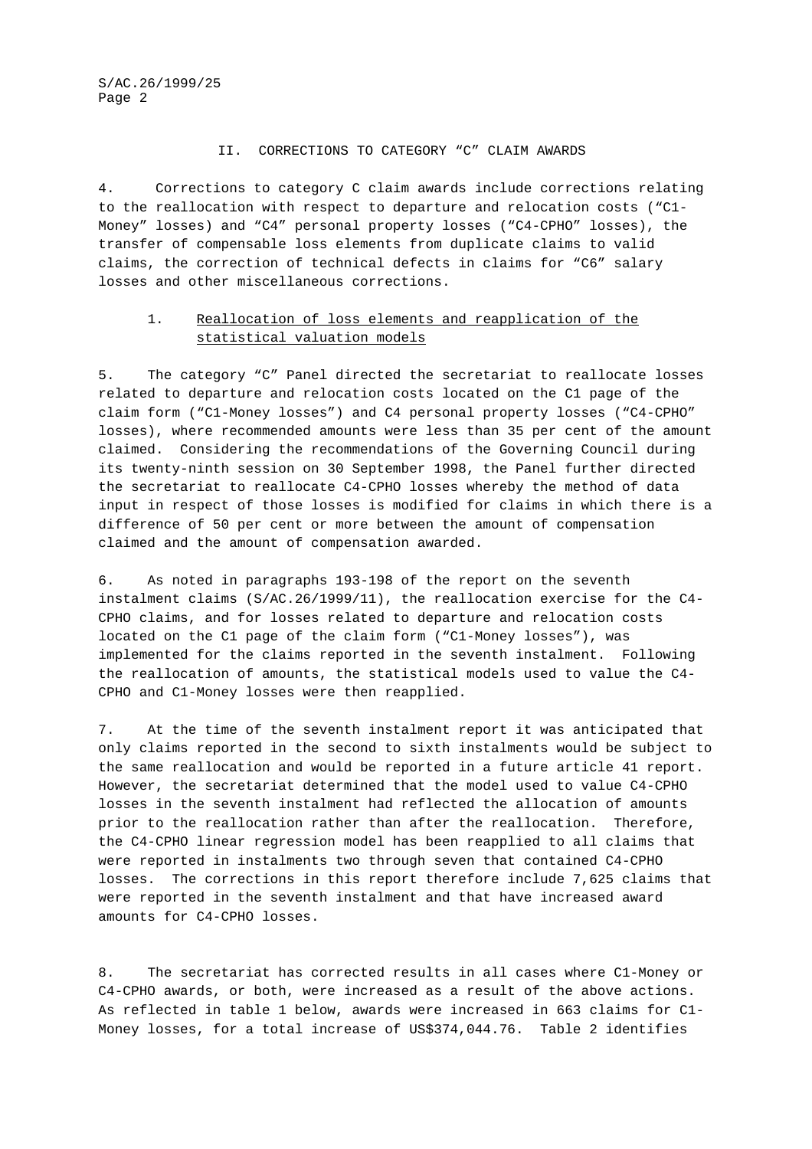#### II. CORRECTIONS TO CATEGORY "C" CLAIM AWARDS

4. Corrections to category C claim awards include corrections relating to the reallocation with respect to departure and relocation costs ("C1- Money" losses) and "C4" personal property losses ("C4-CPHO" losses), the transfer of compensable loss elements from duplicate claims to valid claims, the correction of technical defects in claims for "C6" salary losses and other miscellaneous corrections.

### 1. Reallocation of loss elements and reapplication of the statistical valuation models

5. The category "C" Panel directed the secretariat to reallocate losses related to departure and relocation costs located on the C1 page of the claim form ("C1-Money losses") and C4 personal property losses ("C4-CPHO" losses), where recommended amounts were less than 35 per cent of the amount claimed. Considering the recommendations of the Governing Council during its twenty-ninth session on 30 September 1998, the Panel further directed the secretariat to reallocate C4-CPHO losses whereby the method of data input in respect of those losses is modified for claims in which there is a difference of 50 per cent or more between the amount of compensation claimed and the amount of compensation awarded.

6. As noted in paragraphs 193-198 of the report on the seventh instalment claims (S/AC.26/1999/11), the reallocation exercise for the C4- CPHO claims, and for losses related to departure and relocation costs located on the C1 page of the claim form ("C1-Money losses"), was implemented for the claims reported in the seventh instalment. Following the reallocation of amounts, the statistical models used to value the C4- CPHO and C1-Money losses were then reapplied.

7. At the time of the seventh instalment report it was anticipated that only claims reported in the second to sixth instalments would be subject to the same reallocation and would be reported in a future article 41 report. However, the secretariat determined that the model used to value C4-CPHO losses in the seventh instalment had reflected the allocation of amounts prior to the reallocation rather than after the reallocation. Therefore, the C4-CPHO linear regression model has been reapplied to all claims that were reported in instalments two through seven that contained C4-CPHO losses. The corrections in this report therefore include 7,625 claims that were reported in the seventh instalment and that have increased award amounts for C4-CPHO losses.

8. The secretariat has corrected results in all cases where C1-Money or C4-CPHO awards, or both, were increased as a result of the above actions. As reflected in table 1 below, awards were increased in 663 claims for C1- Money losses, for a total increase of US\$374,044.76. Table 2 identifies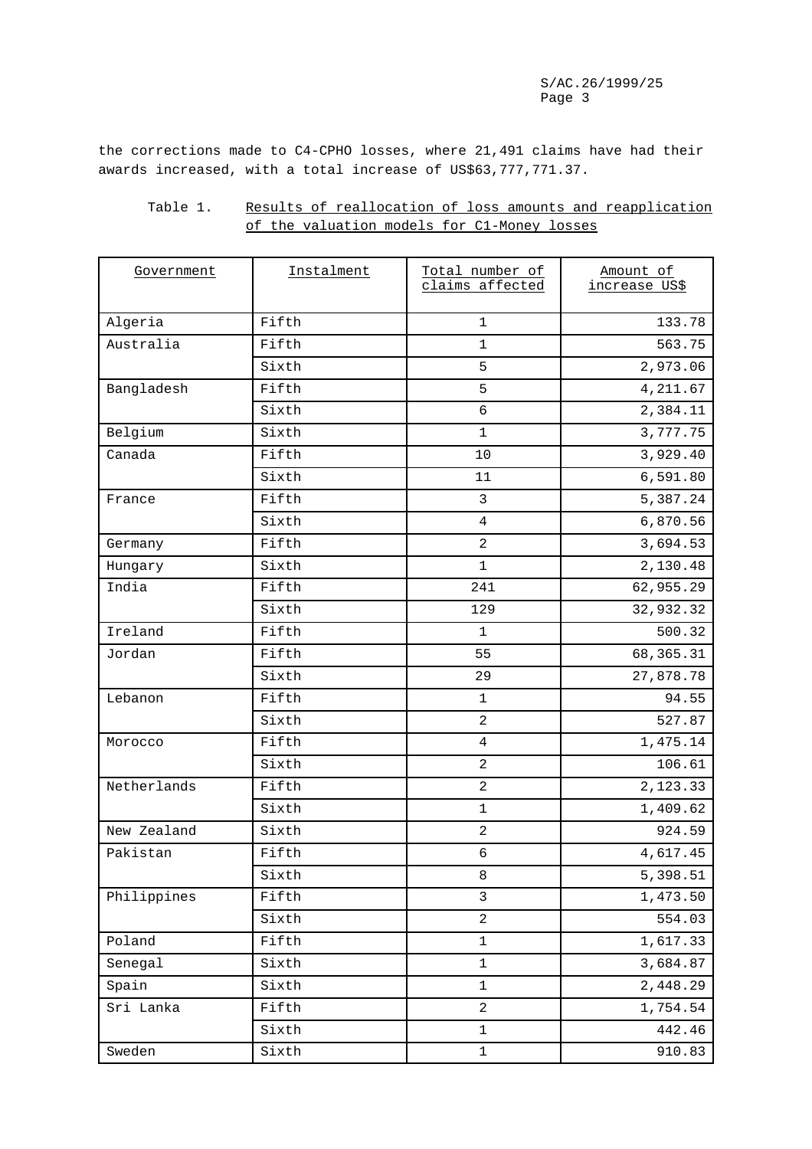the corrections made to C4-CPHO losses, where 21,491 claims have had their awards increased, with a total increase of US\$63,777,771.37.

| Table 1. | Results of reallocation of loss amounts and reapplication |
|----------|-----------------------------------------------------------|
|          | of the valuation models for C1-Money losses               |

| Government  | Instalment | Total number of<br>claims affected | Amount of<br>increase US\$ |
|-------------|------------|------------------------------------|----------------------------|
| Algeria     | Fifth      | $\mathbf{1}$                       | 133.78                     |
| Australia   | Fifth      | $\mathbf{1}$                       | 563.75                     |
|             | Sixth      | 5                                  | 2,973.06                   |
| Bangladesh  | Fifth      | 5                                  | 4,211.67                   |
|             | Sixth      | $\sqrt{6}$                         | 2,384.11                   |
| Belgium     | Sixth      | $\mathbf{1}$                       | 3,777.75                   |
| Canada      | Fifth      | 10                                 | 3,929.40                   |
|             | Sixth      | 11                                 | 6,591.80                   |
| France      | Fifth      | $\mathbf{3}$                       | 5,387.24                   |
|             | Sixth      | $\overline{4}$                     | 6,870.56                   |
| Germany     | Fifth      | 2                                  | 3,694.53                   |
| Hungary     | Sixth      | $\mathbf{1}$                       | 2,130.48                   |
| India       | Fifth      | 241                                | 62,955.29                  |
|             | Sixth      | 129                                | 32,932.32                  |
| Ireland     | Fifth      | $\mathbf{1}$                       | 500.32                     |
| Jordan      | Fifth      | 55                                 | 68, 365. 31                |
|             | Sixth      | 29                                 | 27,878.78                  |
| Lebanon     | Fifth      | 1                                  | 94.55                      |
|             | Sixth      | $\overline{a}$                     | 527.87                     |
| Morocco     | Fifth      | 4                                  | 1,475.14                   |
|             | Sixth      | $\overline{a}$                     | 106.61                     |
| Netherlands | Fifth      | $\overline{a}$                     | 2,123.33                   |
|             | Sixth      | $\mathbf 1$                        | 1,409.62                   |
| New Zealand | Sixth      | $\sqrt{2}$                         | 924.59                     |
| Pakistan    | Fifth      | $\sqrt{6}$                         | 4,617.45                   |
|             | Sixth      | $\,8\,$                            | 5,398.51                   |
| Philippines | Fifth      | $\mathbf{3}$                       | 1,473.50                   |
|             | Sixth      | $\overline{a}$                     | 554.03                     |
| Poland      | Fifth      | $\mathbf 1$                        | 1,617.33                   |
| Senegal     | Sixth      | $\mathbf 1$                        | 3,684.87                   |
| Spain       | Sixth      | $\mathbf 1$                        | 2,448.29                   |
| Sri Lanka   | Fifth      | $\overline{a}$                     | 1,754.54                   |
|             | Sixth      | $\mathbf 1$                        | 442.46                     |
| Sweden      | Sixth      | $\mathbf 1$                        | 910.83                     |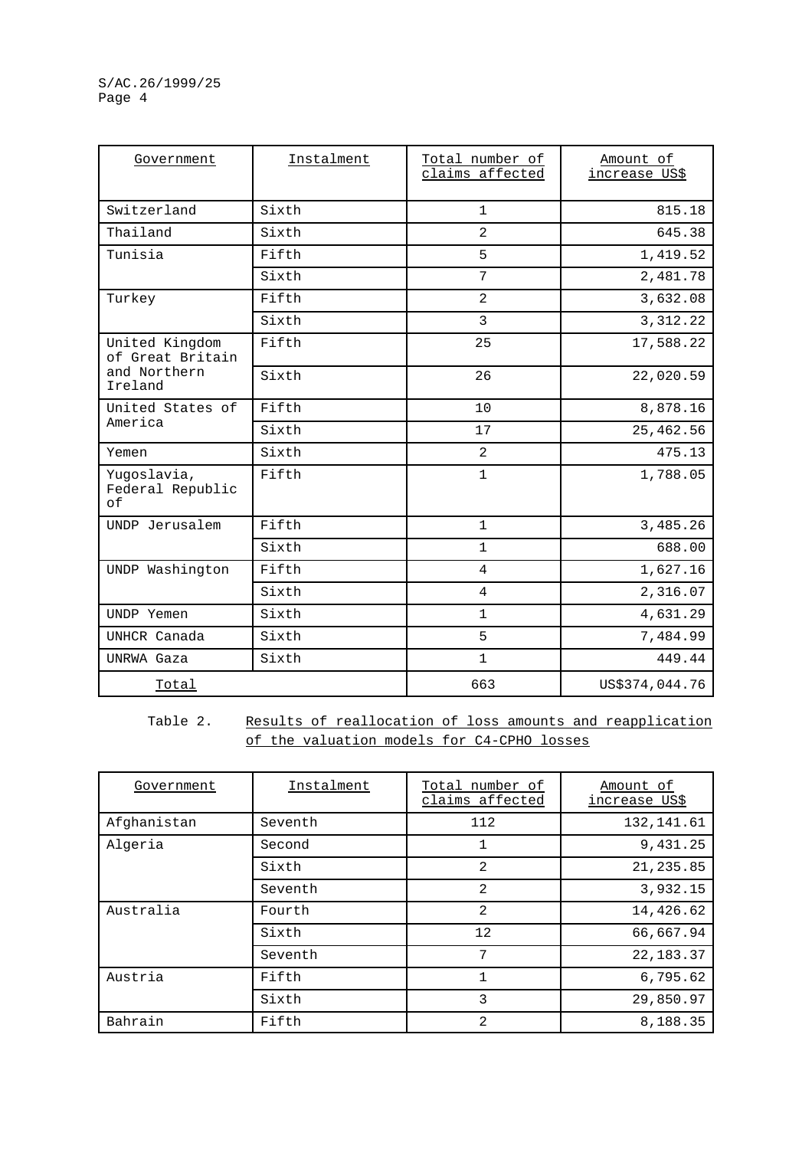| Government                            | Instalment | Total number of<br>claims affected | Amount of<br>increase US\$ |
|---------------------------------------|------------|------------------------------------|----------------------------|
| Switzerland                           | Sixth      | $\mathbf{1}$                       | 815.18                     |
| Thailand                              | Sixth      | 2                                  | 645.38                     |
| Tunisia                               | Fifth      | 5                                  | 1,419.52                   |
|                                       | Sixth      | 7                                  | 2,481.78                   |
| Turkey                                | Fifth      | 2                                  | 3,632.08                   |
|                                       | Sixth      | 3                                  | 3, 312.22                  |
| United Kingdom<br>of Great Britain    | Fifth      | 25                                 | 17,588.22                  |
| and Northern<br>Ireland               | Sixth      | 26                                 | 22,020.59                  |
| United States of                      | Fifth      | 10                                 | 8,878.16                   |
| America                               | Sixth      | 17                                 | 25,462.56                  |
| Yemen                                 | Sixth      | $\overline{2}$                     | 475.13                     |
| Yugoslavia,<br>Federal Republic<br>of | Fifth      | $\mathbf{1}$                       | 1,788.05                   |
| UNDP Jerusalem                        | Fifth      | $\mathbf{1}$                       | 3,485.26                   |
|                                       | Sixth      | $\mathbf{1}$                       | 688.00                     |
| UNDP Washington                       | Fifth      | 4                                  | 1,627.16                   |
|                                       | Sixth      | $\overline{4}$                     | 2,316.07                   |
| UNDP Yemen                            | Sixth      | $\mathbf{1}$                       | 4,631.29                   |
| UNHCR Canada                          | Sixth      | 5                                  | 7,484.99                   |
| UNRWA Gaza                            | Sixth      | $\mathbf{1}$                       | 449.44                     |
| Total                                 |            | 663                                | US\$374,044.76             |

Table 2. Results of reallocation of loss amounts and reapplication of the valuation models for C4-CPHO losses

| Government  | Instalment | Total number of<br>claims affected | Amount of<br>increase US\$ |
|-------------|------------|------------------------------------|----------------------------|
| Afghanistan | Seventh    | 112                                | 132, 141.61                |
| Algeria     | Second     | $\mathbf 1$                        | 9,431.25                   |
|             | Sixth      | 2                                  | 21, 235.85                 |
|             | Seventh    | 2                                  | 3,932.15                   |
| Australia   | Fourth     | 2                                  | 14,426.62                  |
|             | Sixth      | 12                                 | 66,667.94                  |
|             | Seventh    | 7                                  | 22, 183. 37                |
| Austria     | Fifth      | 1                                  | 6,795.62                   |
|             | Sixth      | 3                                  | 29,850.97                  |
| Bahrain     | Fifth      | $\mathfrak{D}$                     | 8,188.35                   |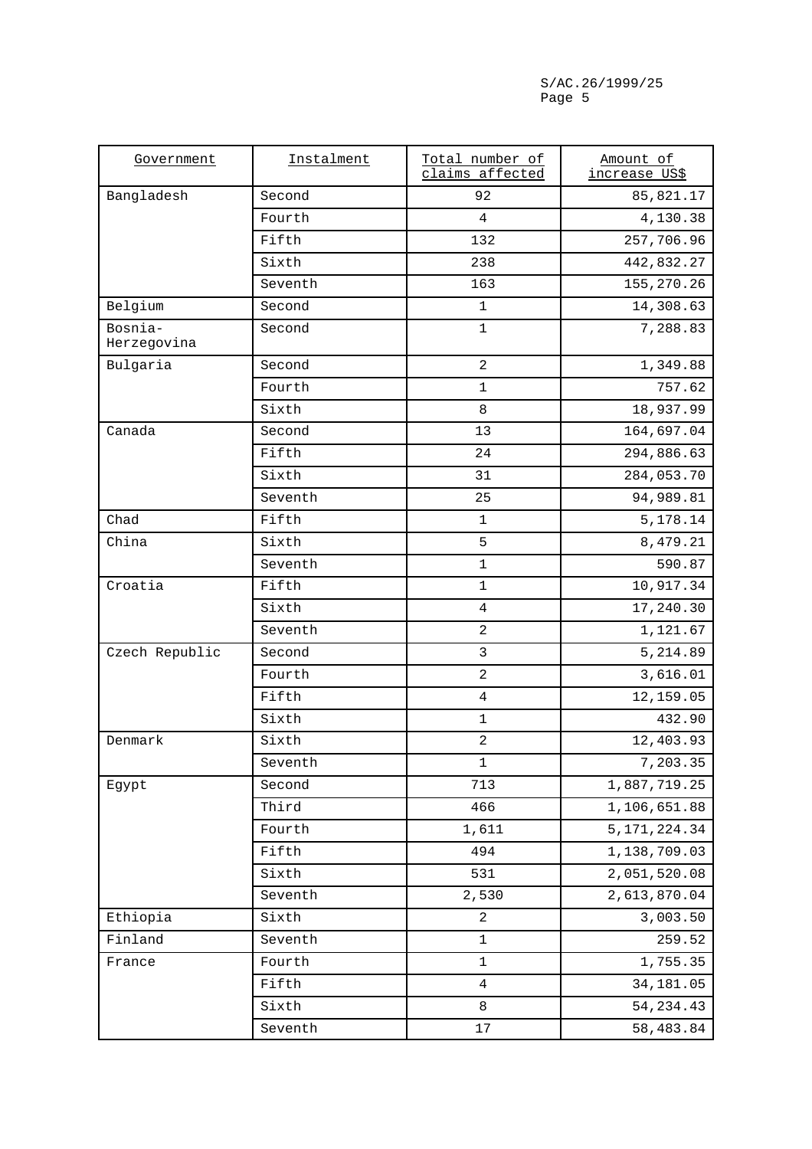| Government             | Instalment | Total number of<br>claims affected | Amount of<br>increase US\$ |
|------------------------|------------|------------------------------------|----------------------------|
| Bangladesh             | Second     | 92                                 | 85,821.17                  |
|                        | Fourth     | 4                                  | 4,130.38                   |
|                        | Fifth      | 132                                | 257,706.96                 |
|                        | Sixth      | 238                                | 442,832.27                 |
|                        | Seventh    | 163                                | 155, 270. 26               |
| Belgium                | Second     | $\mathbf 1$                        | 14,308.63                  |
| Bosnia-<br>Herzegovina | Second     | $\mathbf{1}$                       | 7,288.83                   |
| Bulgaria               | Second     | $\overline{a}$                     | 1,349.88                   |
|                        | Fourth     | $\mathbf 1$                        | 757.62                     |
|                        | Sixth      | 8                                  | 18,937.99                  |
| Canada                 | Second     | 13                                 | 164,697.04                 |
|                        | Fifth      | 24                                 | 294,886.63                 |
|                        | Sixth      | 31                                 | 284,053.70                 |
|                        | Seventh    | 25                                 | 94,989.81                  |
| Chad                   | Fifth      | $\mathbf 1$                        | 5,178.14                   |
| China                  | Sixth      | 5                                  | 8,479.21                   |
|                        | Seventh    | $\mathbf 1$                        | 590.87                     |
| Croatia                | Fifth      | $\mathbf 1$                        | 10,917.34                  |
|                        | Sixth      | $\overline{4}$                     | 17,240.30                  |
|                        | Seventh    | $\overline{2}$                     | 1,121.67                   |
| Czech Republic         | Second     | $\mathbf{3}$                       | 5,214.89                   |
|                        | Fourth     | $\overline{2}$                     | 3,616.01                   |
|                        | Fifth      | $\overline{4}$                     | 12,159.05                  |
|                        | Sixth      | $\mathbf 1$                        | 432.90                     |
| Denmark                | Sixth      | $\overline{a}$                     | 12,403.93                  |
|                        | Seventh    | $1\,$                              | 7,203.35                   |
| Egypt                  | Second     | 713                                | 1,887,719.25               |
|                        | Third      | 466                                | 1,106,651.88               |
|                        | Fourth     | 1,611                              | 5, 171, 224.34             |
|                        | Fifth      | 494                                | 1,138,709.03               |
|                        | Sixth      | 531                                | 2,051,520.08               |
|                        | Seventh    | 2,530                              | 2,613,870.04               |
| Ethiopia               | Sixth      | $\sqrt{2}$                         | 3,003.50                   |
| Finland                | Seventh    | $\mathbf 1$                        | 259.52                     |
| France                 | Fourth     | $\mathbf 1$                        | 1,755.35                   |
|                        | Fifth      | $\overline{4}$                     | 34,181.05                  |
|                        | Sixth      | 8                                  | 54, 234. 43                |
|                        | Seventh    | 17                                 | 58,483.84                  |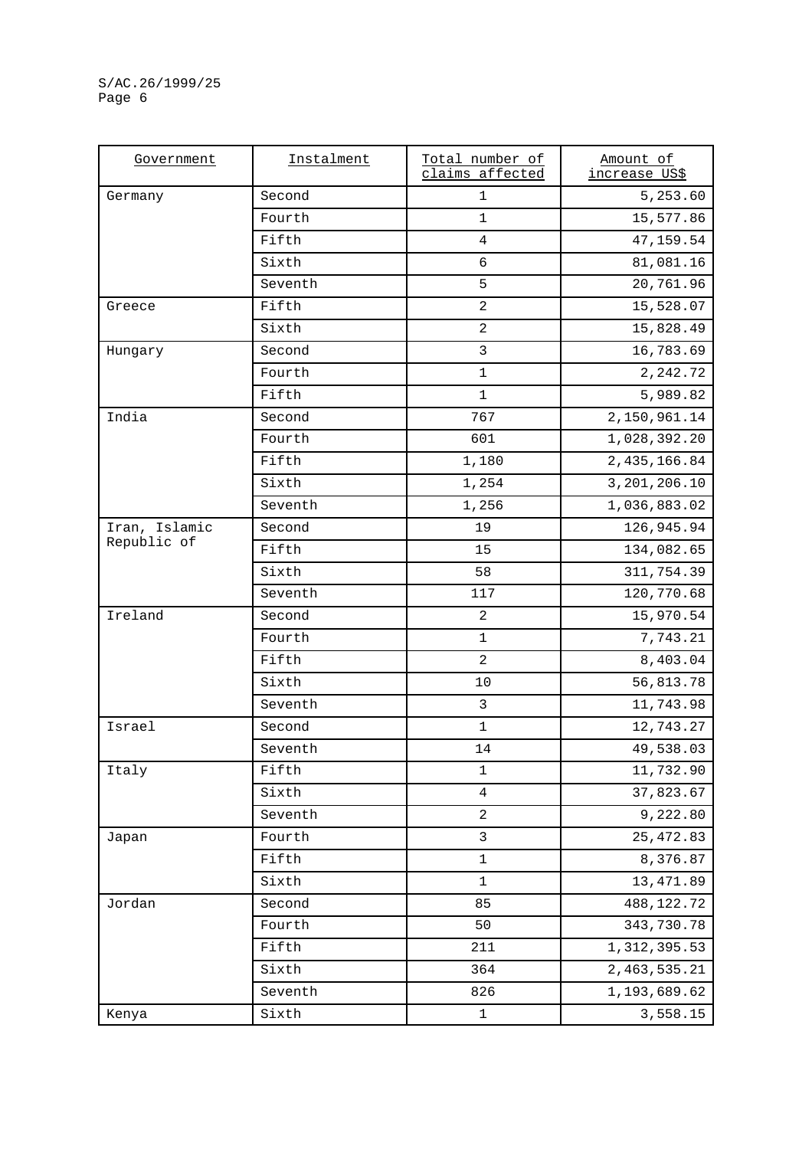| Government    | Instalment | Total number of<br>claims affected | Amount of<br>increase US\$ |
|---------------|------------|------------------------------------|----------------------------|
| Germany       | Second     | $\mathbf{1}$                       | 5,253.60                   |
|               | Fourth     | $\mathbf 1$                        | 15,577.86                  |
|               | Fifth      | 4                                  | 47,159.54                  |
|               | Sixth      | 6                                  | 81,081.16                  |
|               | Seventh    | 5                                  | 20,761.96                  |
| Greece        | Fifth      | $\overline{a}$                     | 15,528.07                  |
|               | Sixth      | $\overline{2}$                     | 15,828.49                  |
| Hungary       | Second     | $\mathsf{3}$                       | 16,783.69                  |
|               | Fourth     | $\mathbf 1$                        | 2, 242.72                  |
|               | Fifth      | $\mathbf 1$                        | 5,989.82                   |
| India         | Second     | 767                                | 2,150,961.14               |
|               | Fourth     | 601                                | 1,028,392.20               |
|               | Fifth      | 1,180                              | 2,435,166.84               |
|               | Sixth      | 1,254                              | 3,201,206.10               |
|               | Seventh    | 1,256                              | 1,036,883.02               |
| Iran, Islamic | Second     | 19                                 | 126,945.94                 |
| Republic of   | Fifth      | 15                                 | 134,082.65                 |
|               | Sixth      | 58                                 | 311,754.39                 |
|               | Seventh    | 117                                | 120,770.68                 |
| Ireland       | Second     | 2                                  | 15,970.54                  |
|               | Fourth     | $\mathbf 1$                        | 7,743.21                   |
|               | Fifth      | $\overline{a}$                     | 8,403.04                   |
|               | Sixth      | 10                                 | 56,813.78                  |
|               | Seventh    | $\mathbf{3}$                       | 11,743.98                  |
| Israel        | Second     | $\mathbf 1$                        | 12,743.27                  |
|               | Seventh    | 14                                 | 49,538.03                  |
| Italy         | Fifth      | 1                                  | 11,732.90                  |
|               | Sixth      | $\overline{4}$                     | 37,823.67                  |
|               | Seventh    | $\overline{c}$                     | 9,222.80                   |
| Japan         | Fourth     | 3                                  | 25, 472.83                 |
|               | Fifth      | $\mathbf 1$                        | 8,376.87                   |
|               | Sixth      | 1                                  | 13, 471.89                 |
| Jordan        | Second     | 85                                 | 488,122.72                 |
|               | Fourth     | 50                                 | 343,730.78                 |
|               | Fifth      | 211                                | 1, 312, 395.53             |
|               | Sixth      | 364                                | 2,463,535.21               |
|               | Seventh    | 826                                | 1,193,689.62               |
| Kenya         | Sixth      | $\mathbf 1$                        | 3,558.15                   |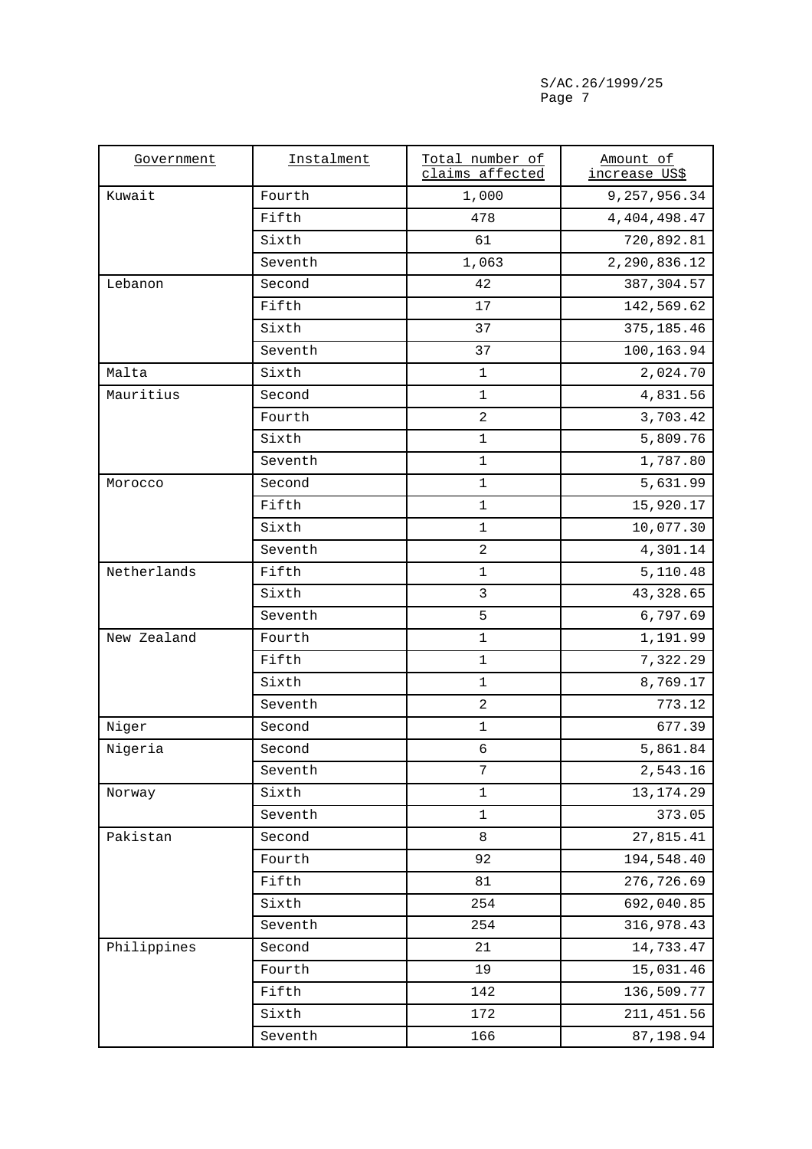| Government  | Instalment | Total number of<br>claims affected | Amount of<br>increase US\$ |
|-------------|------------|------------------------------------|----------------------------|
| Kuwait      | Fourth     | 1,000                              | 9, 257, 956.34             |
|             | Fifth      | 478                                | 4, 404, 498.47             |
|             | Sixth      | 61                                 | 720,892.81                 |
|             | Seventh    | 1,063                              | 2,290,836.12               |
| Lebanon     | Second     | 42                                 | 387, 304.57                |
|             | Fifth      | 17                                 | 142,569.62                 |
|             | Sixth      | 37                                 | 375, 185.46                |
|             | Seventh    | 37                                 | 100,163.94                 |
| Malta       | Sixth      | $\mathbf{1}$                       | 2,024.70                   |
| Mauritius   | Second     | $\mathbf 1$                        | 4,831.56                   |
|             | Fourth     | $\overline{a}$                     | 3,703.42                   |
|             | Sixth      | $\mathbf 1$                        | 5,809.76                   |
|             | Seventh    | $\mathbf{1}$                       | 1,787.80                   |
| Morocco     | Second     | $\mathbf{1}$                       | 5,631.99                   |
|             | Fifth      | $1\,$                              | 15,920.17                  |
|             | Sixth      | $\mathbf{1}$                       | 10,077.30                  |
|             | Seventh    | $\overline{a}$                     | 4,301.14                   |
| Netherlands | Fifth      | $\mathbf 1$                        | 5,110.48                   |
|             | Sixth      | $\mathbf{3}$                       | 43, 328.65                 |
|             | Seventh    | 5                                  | 6,797.69                   |
| New Zealand | Fourth     | $\mathbf{1}$                       | 1,191.99                   |
|             | Fifth      | $1\,$                              | 7,322.29                   |
|             | Sixth      | $\mathbf{1}$                       | 8,769.17                   |
|             | Seventh    | $\overline{a}$                     | 773.12                     |
| Niger       | Second     | $\mathbf 1$                        | 677.39                     |
| Nigeria     | Second     | 6                                  | 5,861.84                   |
|             | Seventh    | 7                                  | 2,543.16                   |
| Norway      | Sixth      | $\mathbf 1$                        | 13, 174. 29                |
|             | Seventh    | $\mathbf 1$                        | 373.05                     |
| Pakistan    | Second     | 8                                  | 27,815.41                  |
|             | Fourth     | 92                                 | 194,548.40                 |
|             | Fifth      | 81                                 | 276,726.69                 |
|             | Sixth      | 254                                | 692,040.85                 |
|             | Seventh    | 254                                | 316,978.43                 |
| Philippines | Second     | 21                                 | 14,733.47                  |
|             | Fourth     | 19                                 | 15,031.46                  |
|             | Fifth      | 142                                | 136,509.77                 |
|             | Sixth      | 172                                | 211, 451.56                |
|             | Seventh    | 166                                | 87,198.94                  |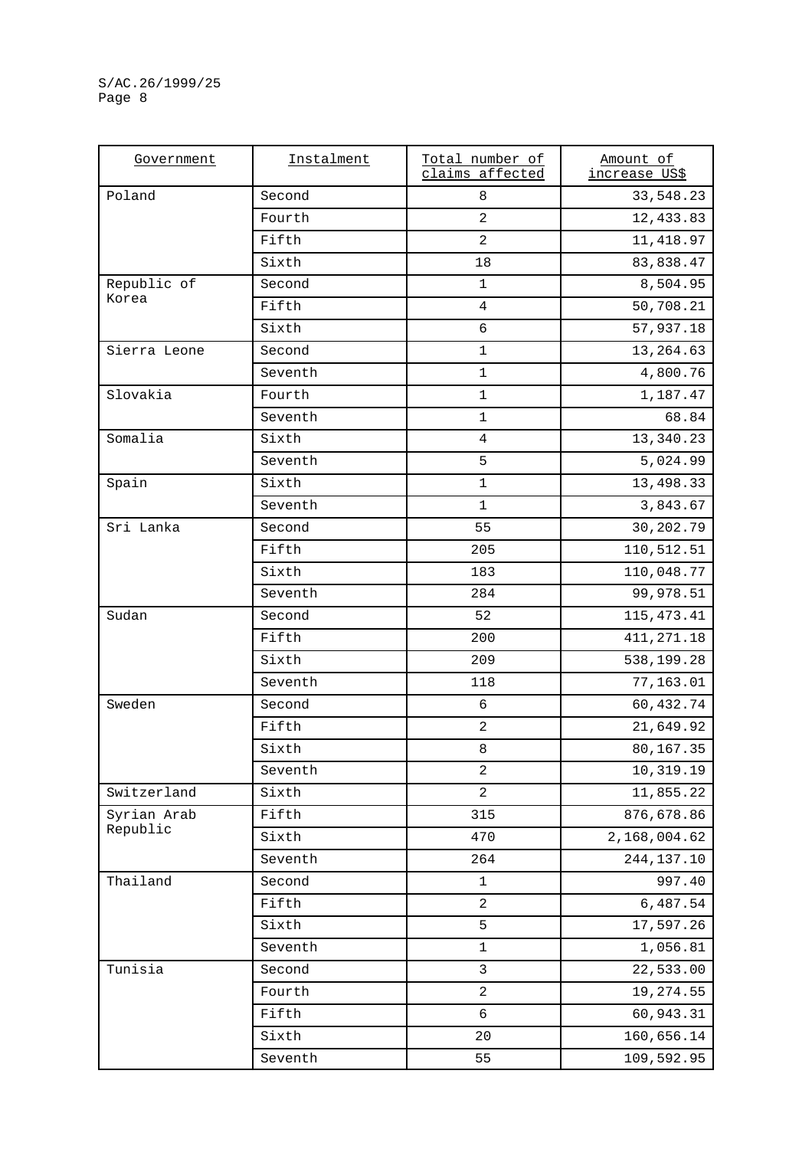| Government   | Instalment | Total number of<br>claims affected | Amount of<br>increase US\$ |
|--------------|------------|------------------------------------|----------------------------|
| Poland       | Second     | $\,8\,$                            | 33,548.23                  |
|              | Fourth     | $\overline{a}$                     | 12,433.83                  |
|              | Fifth      | 2                                  | 11,418.97                  |
|              | Sixth      | 18                                 | 83,838.47                  |
| Republic of  | Second     | $\mathbf 1$                        | 8,504.95                   |
| Korea        | Fifth      | $\overline{4}$                     | 50,708.21                  |
|              | Sixth      | $\epsilon$                         | 57,937.18                  |
| Sierra Leone | Second     | $\mathbf{1}$                       | 13, 264.63                 |
|              | Seventh    | $\mathbf 1$                        | 4,800.76                   |
| Slovakia     | Fourth     | $\mathbf 1$                        | 1,187.47                   |
|              | Seventh    | $\mathbf 1$                        | 68.84                      |
| Somalia      | Sixth      | $\overline{4}$                     | 13,340.23                  |
|              | Seventh    | 5                                  | 5,024.99                   |
| Spain        | Sixth      | $\mathbf 1$                        | 13,498.33                  |
|              | Seventh    | $\mathbf{1}$                       | 3,843.67                   |
| Sri Lanka    | Second     | 55                                 | 30,202.79                  |
|              | Fifth      | 205                                | 110,512.51                 |
|              | Sixth      | 183                                | 110,048.77                 |
|              | Seventh    | 284                                | 99,978.51                  |
| Sudan        | Second     | 52                                 | 115, 473. 41               |
|              | Fifth      | 200                                | 411, 271.18                |
|              | Sixth      | 209                                | 538,199.28                 |
|              | Seventh    | 118                                | 77,163.01                  |
| Sweden       | Second     | $\sqrt{6}$                         | 60,432.74                  |
|              | Fifth      | $\overline{c}$                     | 21,649.92                  |
|              | Sixth      | 8                                  | 80,167.35                  |
|              | Seventh    | $\overline{a}$                     | 10,319.19                  |
| Switzerland  | Sixth      | $\overline{a}$                     | 11,855.22                  |
| Syrian Arab  | Fifth      | 315                                | 876,678.86                 |
| Republic     | Sixth      | 470                                | 2,168,004.62               |
|              | Seventh    | 264                                | 244, 137. 10               |
| Thailand     | Second     | $1\,$                              | 997.40                     |
|              | Fifth      | $\overline{2}$                     | 6,487.54                   |
|              | Sixth      | 5                                  | 17,597.26                  |
|              | Seventh    | $\mathbf 1$                        | 1,056.81                   |
| Tunisia      | Second     | 3                                  | 22,533.00                  |
|              | Fourth     | $\overline{a}$                     | 19,274.55                  |
|              | Fifth      | 6                                  | 60,943.31                  |
|              | Sixth      | 20                                 | 160,656.14                 |
|              | Seventh    | 55                                 | 109,592.95                 |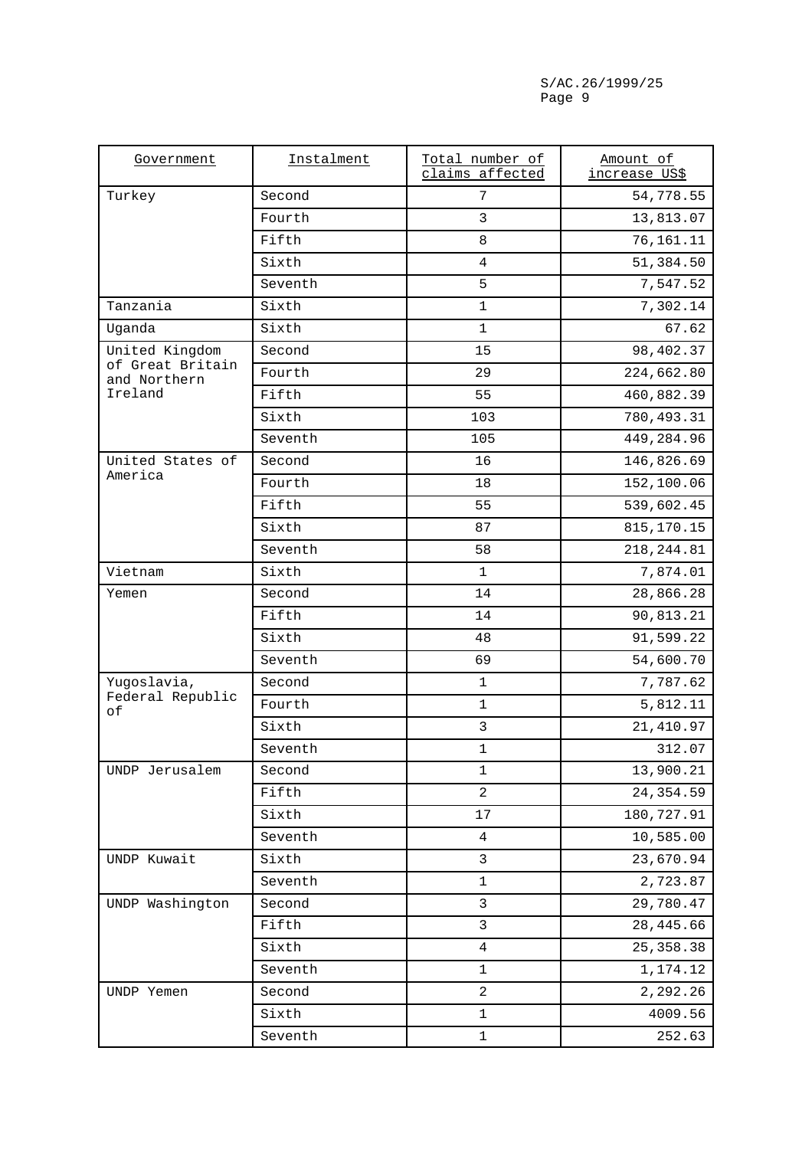| Government                       | Instalment | Total number of<br>claims affected | Amount of<br><u>increase US\$</u> |
|----------------------------------|------------|------------------------------------|-----------------------------------|
| Turkey                           | Second     | 7                                  | 54,778.55                         |
|                                  | Fourth     | $\mathbf{3}$                       | 13,813.07                         |
|                                  | Fifth      | 8                                  | 76,161.11                         |
|                                  | Sixth      | $\overline{4}$                     | 51,384.50                         |
|                                  | Seventh    | 5                                  | 7,547.52                          |
| Tanzania                         | Sixth      | $\mathbf 1$                        | 7,302.14                          |
| Uganda                           | Sixth      | $\mathbf{1}$                       | 67.62                             |
| United Kingdom                   | Second     | 15                                 | 98,402.37                         |
| of Great Britain<br>and Northern | Fourth     | 29                                 | 224,662.80                        |
| Ireland                          | Fifth      | 55                                 | 460,882.39                        |
|                                  | Sixth      | 103                                | 780,493.31                        |
|                                  | Seventh    | 105                                | 449,284.96                        |
| United States of                 | Second     | 16                                 | 146,826.69                        |
| America                          | Fourth     | 18                                 | 152,100.06                        |
|                                  | Fifth      | 55                                 | 539,602.45                        |
|                                  | Sixth      | 87                                 | 815, 170. 15                      |
|                                  | Seventh    | 58                                 | 218, 244.81                       |
| Vietnam                          | Sixth      | $\mathbf{1}$                       | 7,874.01                          |
| Yemen                            | Second     | 14                                 | 28,866.28                         |
|                                  | Fifth      | 14                                 | 90,813.21                         |
|                                  | Sixth      | 48                                 | 91,599.22                         |
|                                  | Seventh    | 69                                 | 54,600.70                         |
| Yugoslavia,                      | Second     | $\mathbf 1$                        | 7,787.62                          |
| Federal Republic<br>оf           | Fourth     | $\mathbf{1}$                       | 5,812.11                          |
|                                  | Sixth      | $\mathbf{3}$                       | 21,410.97                         |
|                                  | Seventh    | $\mathbf 1$                        | 312.07                            |
| UNDP Jerusalem                   | Second     | $\mathbf{1}$                       | 13,900.21                         |
|                                  | Fifth      | $\overline{a}$                     | 24, 354.59                        |
|                                  | Sixth      | 17                                 | 180,727.91                        |
|                                  | Seventh    | $\overline{4}$                     | 10,585.00                         |
| UNDP Kuwait                      | Sixth      | 3                                  | 23,670.94                         |
|                                  | Seventh    | $\mathbf 1$                        | 2,723.87                          |
| UNDP Washington                  | Second     | $\mathbf{3}$                       | 29,780.47                         |
|                                  | Fifth      | $\mathbf{3}$                       | 28,445.66                         |
|                                  | Sixth      | $\overline{4}$                     | 25, 358.38                        |
|                                  | Seventh    | $\mathbf 1$                        | 1,174.12                          |
| UNDP Yemen                       | Second     | 2                                  | 2,292.26                          |
|                                  | Sixth      | $\mathbf 1$                        | 4009.56                           |
|                                  | Seventh    | $\mathbf 1$                        | 252.63                            |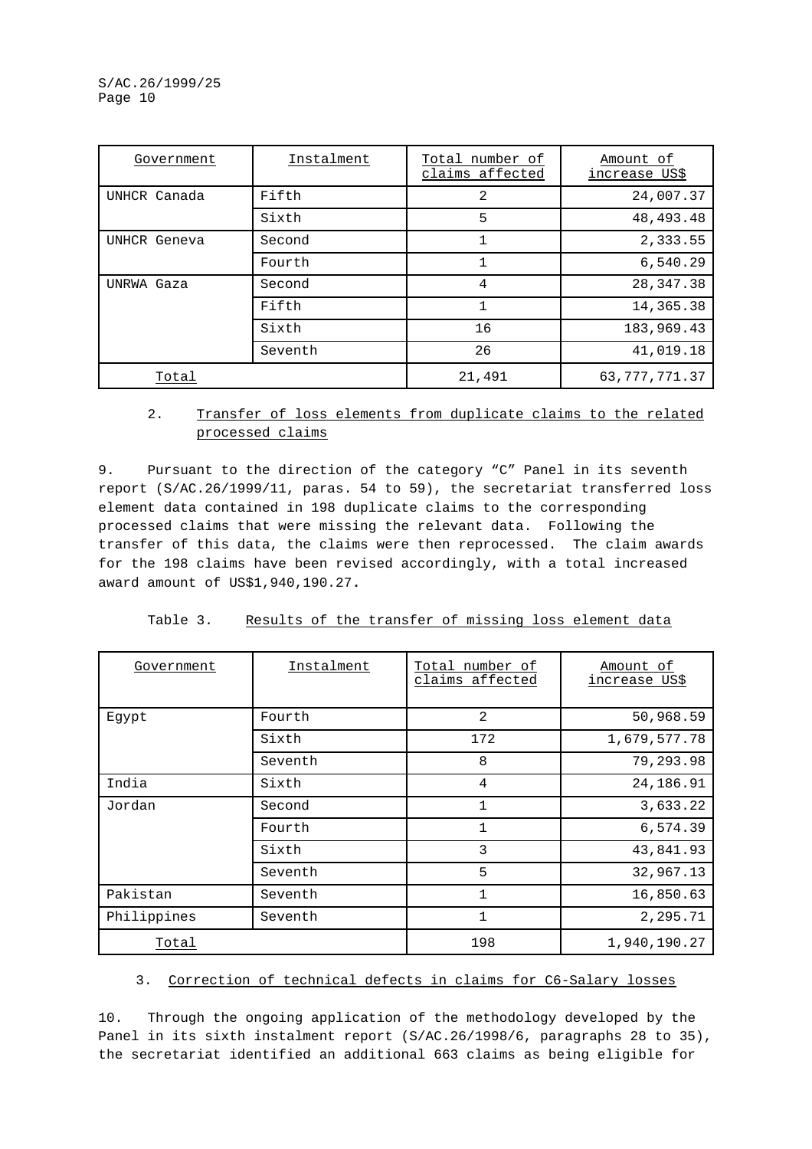| Government   | Instalment | Total number of<br>claims affected | Amount of<br>increase US\$ |
|--------------|------------|------------------------------------|----------------------------|
| UNHCR Canada | Fifth      | $\overline{2}$                     | 24,007.37                  |
|              | Sixth      | 5                                  | 48, 493. 48                |
| UNHCR Geneva | Second     |                                    | 2,333.55                   |
|              | Fourth     |                                    | 6,540.29                   |
| UNRWA Gaza   | Second     | 4                                  | 28, 347. 38                |
|              | Fifth      |                                    | 14,365.38                  |
|              | Sixth      | 16                                 | 183,969.43                 |
|              | Seventh    | 26                                 | 41,019.18                  |
| Total        |            | 21,491                             | 63, 777, 771.37            |

### 2. Transfer of loss elements from duplicate claims to the related processed claims

9. Pursuant to the direction of the category "C" Panel in its seventh report (S/AC.26/1999/11, paras. 54 to 59), the secretariat transferred loss element data contained in 198 duplicate claims to the corresponding processed claims that were missing the relevant data. Following the transfer of this data, the claims were then reprocessed. The claim awards for the 198 claims have been revised accordingly, with a total increased award amount of US\$1,940,190.27**.**

| Government  | Instalment | Total number of<br>claims affected | Amount of<br>increase US\$ |
|-------------|------------|------------------------------------|----------------------------|
| Eqypt       | Fourth     | 2                                  | 50,968.59                  |
|             | Sixth      | 172                                | 1,679,577.78               |
|             | Seventh    | 8                                  | 79,293.98                  |
| India       | Sixth      | 4                                  | 24,186.91                  |
| Jordan      | Second     | $\mathbf{1}$                       | 3,633.22                   |
|             | Fourth     | $\mathbf{1}$                       | 6,574.39                   |
|             | Sixth      | 3                                  | 43,841.93                  |
|             | Seventh    | 5                                  | 32,967.13                  |
| Pakistan    | Seventh    | $\mathbf{1}$                       | 16,850.63                  |
| Philippines | Seventh    | $\mathbf{1}$                       | 2,295.71                   |
| Total       |            | 198                                | 1,940,190.27               |

| Results of the transfer of missing loss element data | Table 3. |  |  |  |  |  |  |  |  |
|------------------------------------------------------|----------|--|--|--|--|--|--|--|--|
|------------------------------------------------------|----------|--|--|--|--|--|--|--|--|

### 3. Correction of technical defects in claims for C6-Salary losses

10. Through the ongoing application of the methodology developed by the Panel in its sixth instalment report (S/AC.26/1998/6, paragraphs 28 to 35), the secretariat identified an additional 663 claims as being eligible for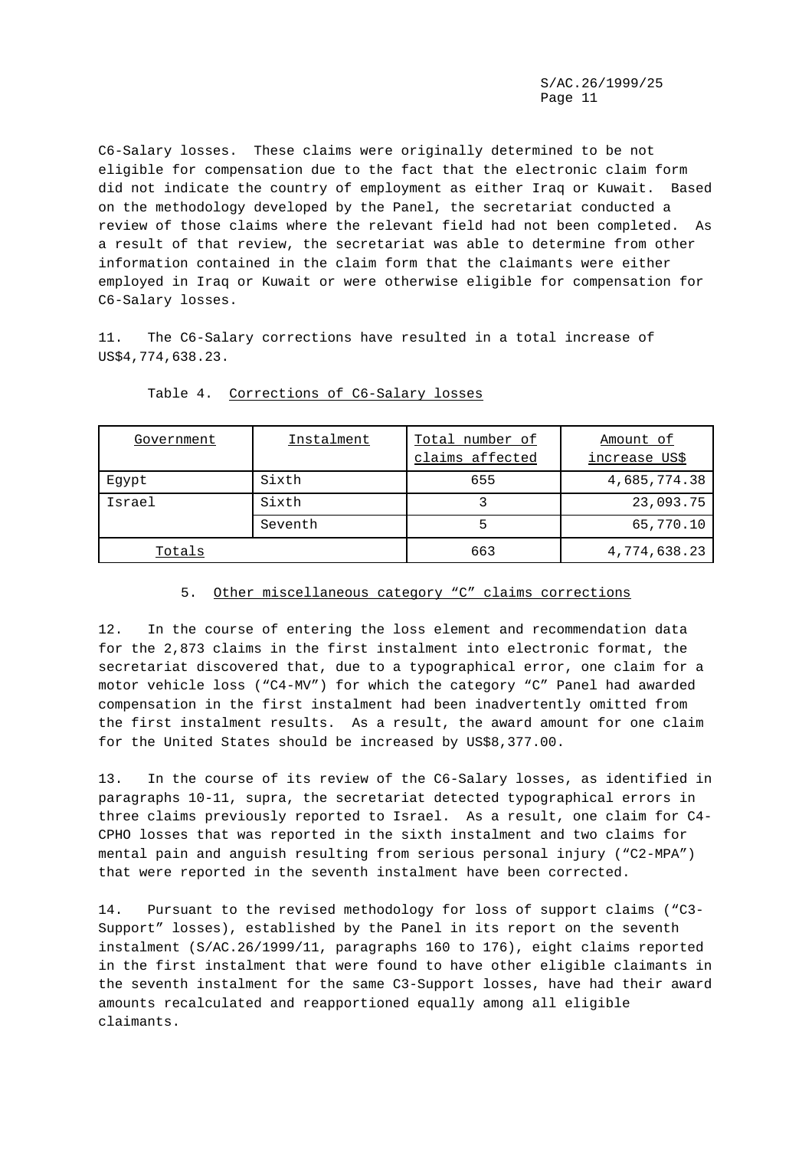C6-Salary losses. These claims were originally determined to be not eligible for compensation due to the fact that the electronic claim form did not indicate the country of employment as either Iraq or Kuwait. Based on the methodology developed by the Panel, the secretariat conducted a review of those claims where the relevant field had not been completed. As a result of that review, the secretariat was able to determine from other information contained in the claim form that the claimants were either employed in Iraq or Kuwait or were otherwise eligible for compensation for C6-Salary losses.

11. The C6-Salary corrections have resulted in a total increase of US\$4,774,638.23.

| Government | Instalment | Total number of<br>claims affected | Amount of<br>increase US\$ |
|------------|------------|------------------------------------|----------------------------|
| Eqypt      | Sixth      | 655                                | 4,685,774.38               |
| Israel     | Sixth      |                                    | 23,093.75                  |
|            | Seventh    | 5                                  | 65,770.10                  |
| Totals     |            | 663                                | 4,774,638.23               |

#### Table 4. Corrections of C6-Salary losses

#### 5. Other miscellaneous category "C" claims corrections

12. In the course of entering the loss element and recommendation data for the 2,873 claims in the first instalment into electronic format, the secretariat discovered that, due to a typographical error, one claim for a motor vehicle loss ("C4-MV") for which the category "C" Panel had awarded compensation in the first instalment had been inadvertently omitted from the first instalment results. As a result, the award amount for one claim for the United States should be increased by US\$8,377.00.

13. In the course of its review of the C6-Salary losses, as identified in paragraphs 10-11, supra, the secretariat detected typographical errors in three claims previously reported to Israel. As a result, one claim for C4- CPHO losses that was reported in the sixth instalment and two claims for mental pain and anguish resulting from serious personal injury ("C2-MPA") that were reported in the seventh instalment have been corrected.

14. Pursuant to the revised methodology for loss of support claims ("C3- Support" losses), established by the Panel in its report on the seventh instalment (S/AC.26/1999/11, paragraphs 160 to 176), eight claims reported in the first instalment that were found to have other eligible claimants in the seventh instalment for the same C3-Support losses, have had their award amounts recalculated and reapportioned equally among all eligible claimants.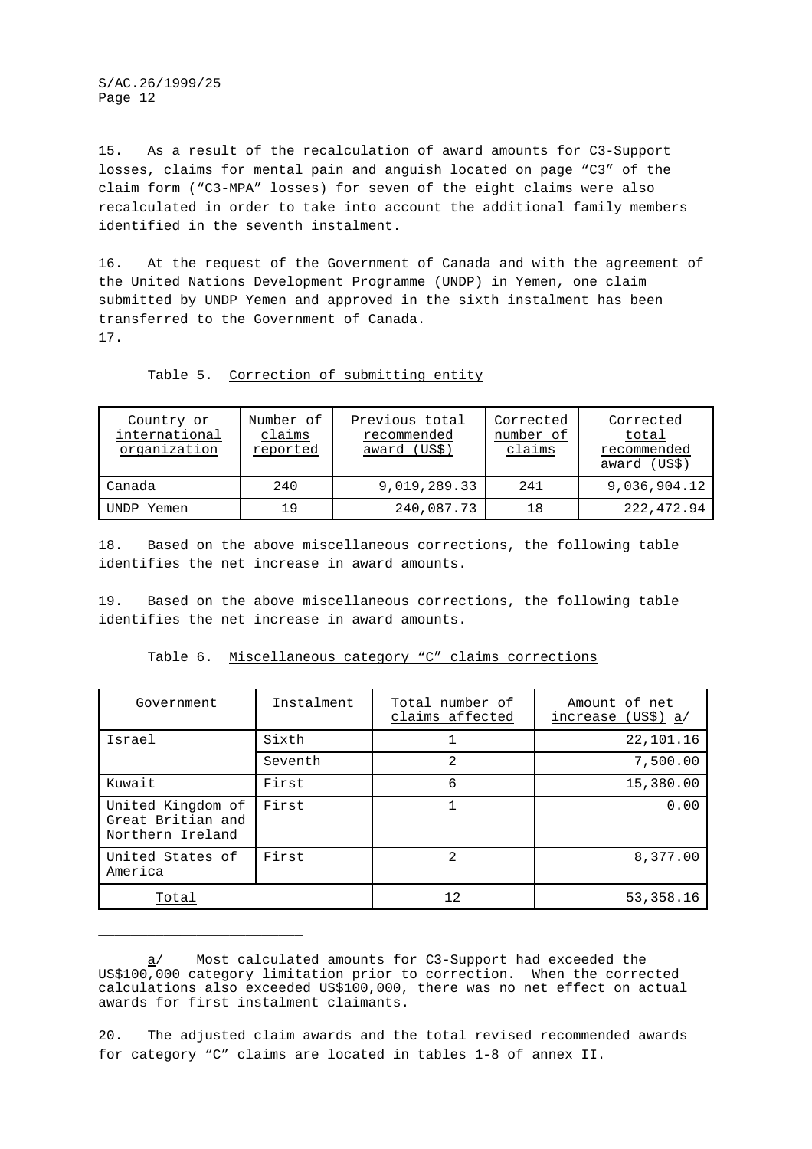15. As a result of the recalculation of award amounts for C3-Support losses, claims for mental pain and anguish located on page "C3" of the claim form ("C3-MPA" losses) for seven of the eight claims were also recalculated in order to take into account the additional family members identified in the seventh instalment.

16. At the request of the Government of Canada and with the agreement of the United Nations Development Programme (UNDP) in Yemen, one claim submitted by UNDP Yemen and approved in the sixth instalment has been transferred to the Government of Canada. 17.

| Country or<br>international<br>organization | Number of<br>claims<br>reported | Previous total<br>recommended<br>award (US\$) | Corrected<br>number of<br>claims | Corrected<br>total<br>recommended<br>award (US\$) |
|---------------------------------------------|---------------------------------|-----------------------------------------------|----------------------------------|---------------------------------------------------|
| Canada                                      | 240                             | 9,019,289.33                                  | 2.41                             | 9,036,904.12                                      |
| UNDP Yemen                                  | 1 9                             | 240,087.73                                    | 18                               | 222, 472.94                                       |

Table 5. Correction of submitting entity

18. Based on the above miscellaneous corrections, the following table identifies the net increase in award amounts.

19. Based on the above miscellaneous corrections, the following table identifies the net increase in award amounts.

| Government                                                 | Instalment | Total number of<br>claims affected | Amount of net<br>increase (US\$) a/ |
|------------------------------------------------------------|------------|------------------------------------|-------------------------------------|
| Israel                                                     | Sixth      |                                    | 22,101.16                           |
|                                                            | Seventh    | $\mathfrak{D}$                     | 7,500.00                            |
| Kuwait                                                     | First      | 6                                  | 15,380.00                           |
| United Kingdom of<br>Great Britian and<br>Northern Ireland | First      |                                    | 0.00                                |
| United States of<br>America                                | First      | 2                                  | 8,377.00                            |
| Total                                                      |            | 12                                 | 53,358.16                           |

Table 6. Miscellaneous category "C" claims corrections

\_\_\_\_\_\_\_\_\_\_\_\_\_\_\_\_\_\_\_\_\_\_\_\_\_

a/ Most calculated amounts for C3-Support had exceeded the US\$100,000 category limitation prior to correction. When the corrected calculations also exceeded US\$100,000, there was no net effect on actual awards for first instalment claimants.

<sup>20.</sup> The adjusted claim awards and the total revised recommended awards for category "C" claims are located in tables 1-8 of annex II.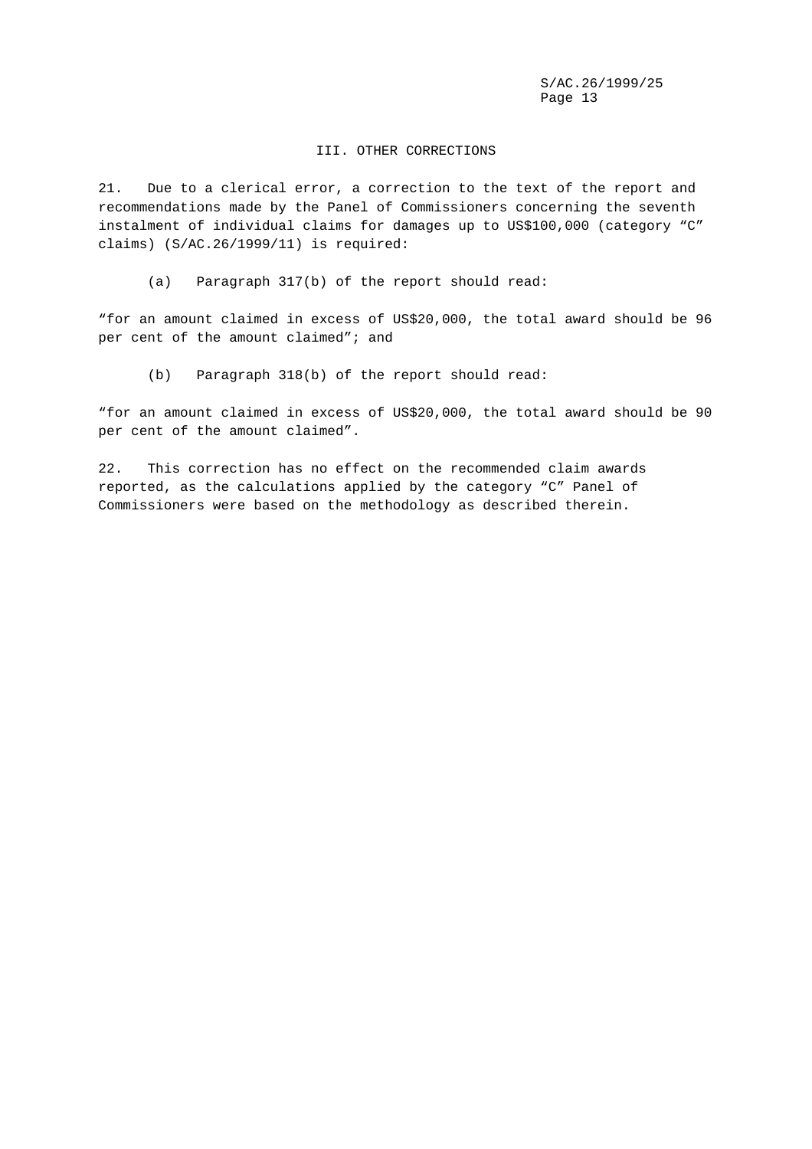#### III. OTHER CORRECTIONS

21. Due to a clerical error, a correction to the text of the report and recommendations made by the Panel of Commissioners concerning the seventh instalment of individual claims for damages up to US\$100,000 (category "C" claims) (S/AC.26/1999/11) is required:

(a) Paragraph 317(b) of the report should read:

"for an amount claimed in excess of US\$20,000, the total award should be 96 per cent of the amount claimed"; and

(b) Paragraph 318(b) of the report should read:

"for an amount claimed in excess of US\$20,000, the total award should be 90 per cent of the amount claimed".

22. This correction has no effect on the recommended claim awards reported, as the calculations applied by the category "C" Panel of Commissioners were based on the methodology as described therein.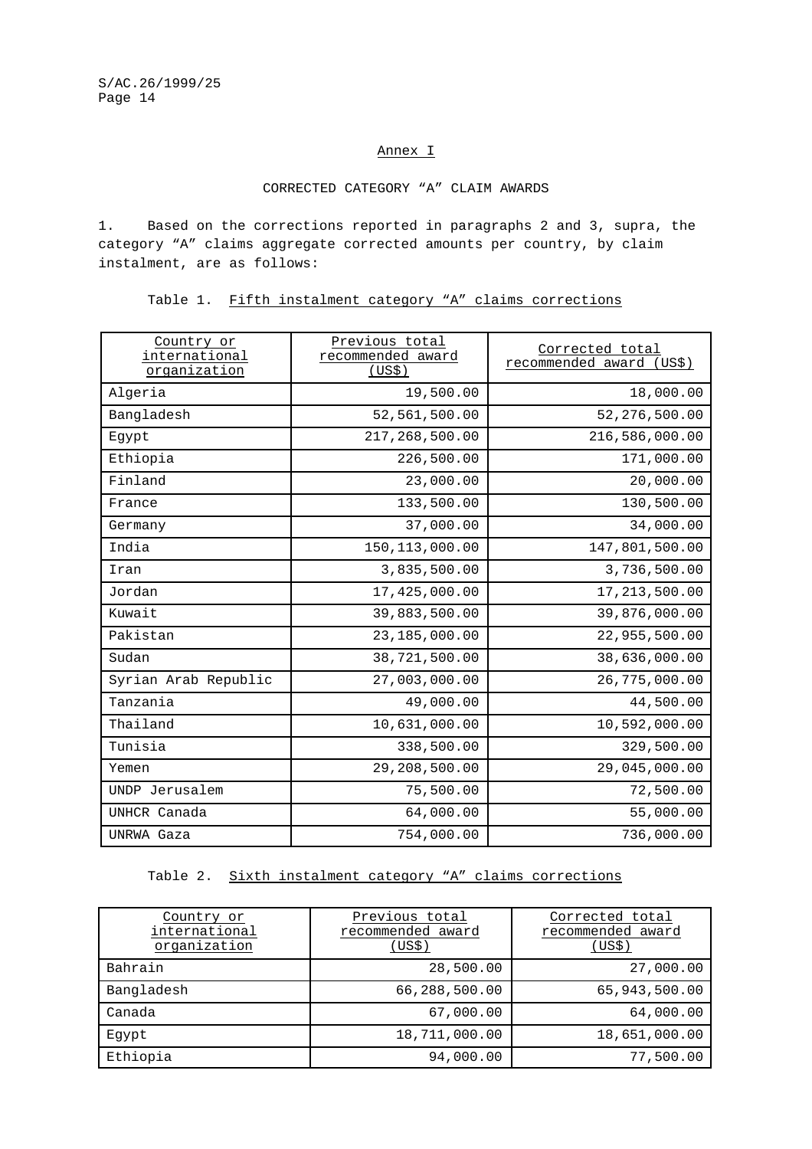#### Annex I

### CORRECTED CATEGORY "A" CLAIM AWARDS

1. Based on the corrections reported in paragraphs 2 and 3, supra, the category "A" claims aggregate corrected amounts per country, by claim instalment, are as follows:

Table 1. Fifth instalment category "A" claims corrections

| Country or<br>international<br>organization | Previous total<br>recommended award<br>(US\$) | Corrected total<br>recommended award<br>(US\$) |
|---------------------------------------------|-----------------------------------------------|------------------------------------------------|
| Algeria                                     | 19,500.00                                     | 18,000.00                                      |
| Bangladesh                                  | 52,561,500.00                                 | 52,276,500.00                                  |
| Egypt                                       | 217,268,500.00                                | 216,586,000.00                                 |
| Ethiopia                                    | 226,500.00                                    | 171,000.00                                     |
| Finland                                     | 23,000.00                                     | 20,000.00                                      |
| France                                      | 133,500.00                                    | 130,500.00                                     |
| Germany                                     | 37,000.00                                     | 34,000.00                                      |
| India                                       | 150, 113, 000.00                              | 147,801,500.00                                 |
| Iran                                        | 3,835,500.00                                  | 3,736,500.00                                   |
| Jordan                                      | 17,425,000.00                                 | 17, 213, 500.00                                |
| Kuwait                                      | 39,883,500.00                                 | 39,876,000.00                                  |
| Pakistan                                    | 23,185,000.00                                 | 22,955,500.00                                  |
| Sudan                                       | 38,721,500.00                                 | 38,636,000.00                                  |
| Syrian Arab Republic                        | 27,003,000.00                                 | 26,775,000.00                                  |
| Tanzania                                    | 49,000.00                                     | 44,500.00                                      |
| Thailand                                    | 10,631,000.00                                 | 10,592,000.00                                  |
| Tunisia                                     | 338,500.00                                    | 329,500.00                                     |
| Yemen                                       | 29,208,500.00                                 | 29,045,000.00                                  |
| UNDP Jerusalem                              | 75,500.00                                     | 72,500.00                                      |
| UNHCR Canada                                | 64,000.00                                     | 55,000.00                                      |
| UNRWA Gaza                                  | 754,000.00                                    | 736,000.00                                     |

### Table 2. Sixth instalment category "A" claims corrections

| Country or<br>international<br>organization | Previous total<br>recommended award<br>(US\$) | Corrected total<br>recommended award<br>(US\$) |
|---------------------------------------------|-----------------------------------------------|------------------------------------------------|
| Bahrain                                     | 28,500.00                                     | 27,000.00                                      |
| Bangladesh                                  | 66,288,500.00                                 | 65,943,500.00                                  |
| Canada                                      | 67,000.00                                     | 64,000.00                                      |
| Eqypt                                       | 18,711,000.00                                 | 18,651,000.00                                  |
| Ethiopia                                    | 94,000.00                                     | 77,500.00                                      |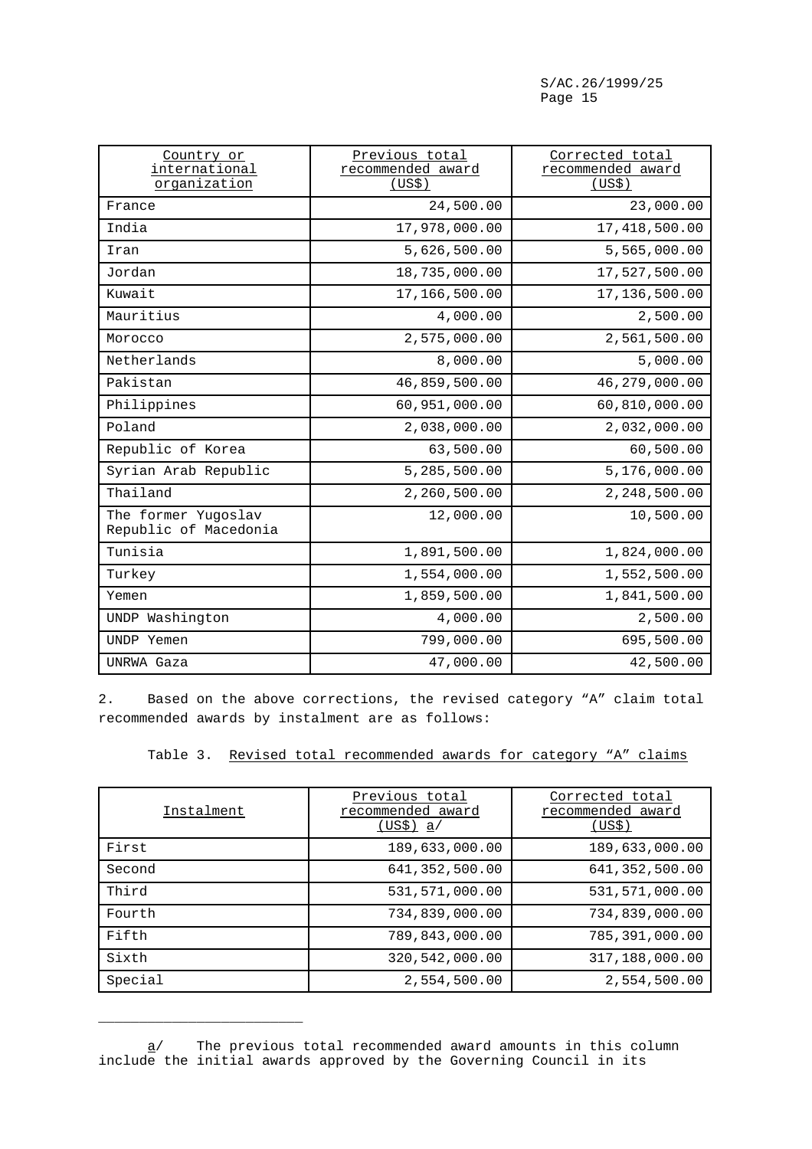| Country or<br>international<br>organization  | Previous total<br>recommended award<br>(US\$) | Corrected total<br>recommended award<br>(US\$) |
|----------------------------------------------|-----------------------------------------------|------------------------------------------------|
| France                                       | 24,500.00                                     | 23,000.00                                      |
| India                                        | 17,978,000.00                                 | 17,418,500.00                                  |
| Iran                                         | 5,626,500.00                                  | 5,565,000.00                                   |
| Jordan                                       | 18,735,000.00                                 | 17,527,500.00                                  |
| Kuwait                                       | 17,166,500.00                                 | 17,136,500.00                                  |
| Mauritius                                    | 4,000.00                                      | 2,500.00                                       |
| Morocco                                      | 2,575,000.00                                  | 2,561,500.00                                   |
| Netherlands                                  | 8,000.00                                      | 5,000.00                                       |
| Pakistan                                     | 46,859,500.00                                 | 46,279,000.00                                  |
| Philippines                                  | 60,951,000.00                                 | 60,810,000.00                                  |
| Poland                                       | 2,038,000.00                                  | 2,032,000.00                                   |
| Republic of Korea                            | 63,500.00                                     | 60,500.00                                      |
| Syrian Arab Republic                         | 5,285,500.00                                  | 5,176,000.00                                   |
| Thailand                                     | 2,260,500.00                                  | 2,248,500.00                                   |
| The former Yugoslav<br>Republic of Macedonia | 12,000.00                                     | 10,500.00                                      |
| Tunisia                                      | 1,891,500.00                                  | 1,824,000.00                                   |
| Turkey                                       | 1,554,000.00                                  | 1,552,500.00                                   |
| Yemen                                        | 1,859,500.00                                  | 1,841,500.00                                   |
| UNDP Washington                              | 4,000.00                                      | 2,500.00                                       |
| UNDP Yemen                                   | 799,000.00                                    | 695,500.00                                     |
| UNRWA Gaza                                   | 47,000.00                                     | 42,500.00                                      |

2. Based on the above corrections, the revised category "A" claim total recommended awards by instalment are as follows:

|  | Table 3. Revised total recommended awards for category "A" claims |  |  |  |
|--|-------------------------------------------------------------------|--|--|--|
|  |                                                                   |  |  |  |

| Instalment | Previous total<br>recommended award<br><u>(US\$) a</u> / | Corrected total<br>recommended award<br>(US\$) |
|------------|----------------------------------------------------------|------------------------------------------------|
| First      | 189,633,000.00                                           | 189,633,000.00                                 |
| Second     | 641, 352, 500.00                                         | 641, 352, 500.00                               |
| Third      | 531,571,000.00                                           | 531,571,000.00                                 |
| Fourth     | 734,839,000.00                                           | 734,839,000.00                                 |
| Fifth      | 789,843,000.00                                           | 785,391,000.00                                 |
| Sixth      | 320,542,000.00                                           | 317,188,000.00                                 |
| Special    | 2,554,500.00                                             | 2,554,500.00                                   |

a/ The previous total recommended award amounts in this column include the initial awards approved by the Governing Council in its

\_\_\_\_\_\_\_\_\_\_\_\_\_\_\_\_\_\_\_\_\_\_\_\_\_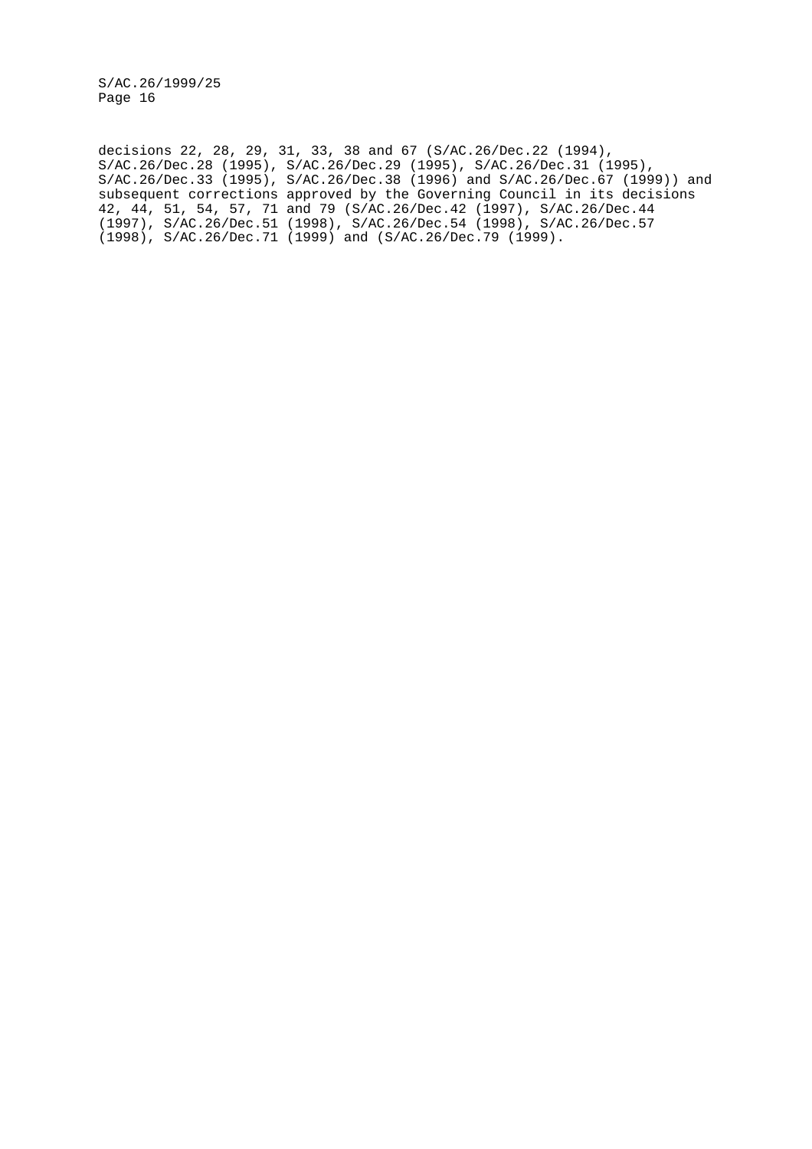decisions 22, 28, 29, 31, 33, 38 and 67 (S/AC.26/Dec.22 (1994), S/AC.26/Dec.28 (1995), S/AC.26/Dec.29 (1995), S/AC.26/Dec.31 (1995), S/AC.26/Dec.33 (1995), S/AC.26/Dec.38 (1996) and S/AC.26/Dec.67 (1999)) and subsequent corrections approved by the Governing Council in its decisions 42, 44, 51, 54, 57, 71 and 79 (S/AC.26/Dec.42 (1997), S/AC.26/Dec.44 (1997), S/AC.26/Dec.51 (1998), S/AC.26/Dec.54 (1998), S/AC.26/Dec.57 (1998), S/AC.26/Dec.71 (1999) and (S/AC.26/Dec.79 (1999).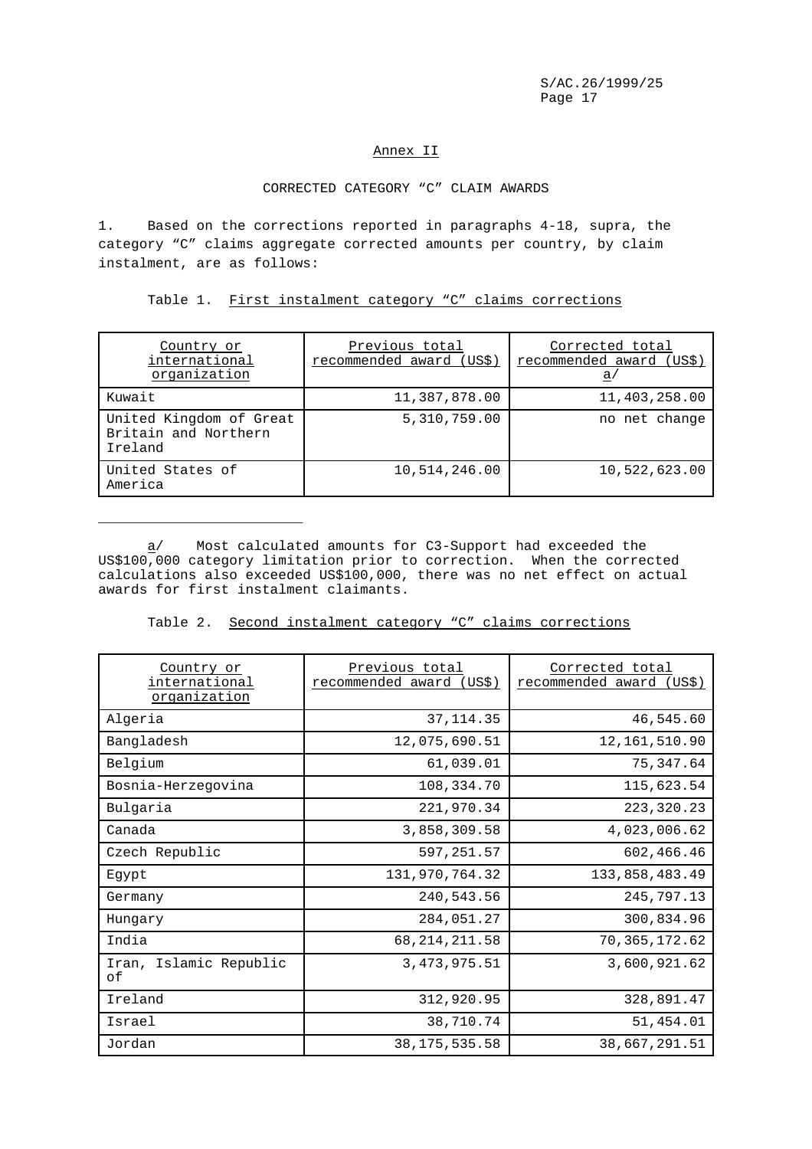### Annex II

#### CORRECTED CATEGORY "C" CLAIM AWARDS

1. Based on the corrections reported in paragraphs 4-18, supra, the category "C" claims aggregate corrected amounts per country, by claim instalment, are as follows:

Table 1. First instalment category "C" claims corrections

| Country or<br>international<br>organization                | Previous total<br>recommended award (US\$) | Corrected total<br>recommended award (US\$)<br>a |
|------------------------------------------------------------|--------------------------------------------|--------------------------------------------------|
| Kuwait                                                     | 11,387,878.00                              | 11,403,258.00                                    |
| United Kingdom of Great<br>Britain and Northern<br>Ireland | 5,310,759.00                               | no net change                                    |
| United States of<br>America                                | 10,514,246.00                              | 10,522,623.00                                    |

a/ Most calculated amounts for C3-Support had exceeded the US\$100,000 category limitation prior to correction. When the corrected calculations also exceeded US\$100,000, there was no net effect on actual awards for first instalment claimants.

\_\_\_\_\_\_\_\_\_\_\_\_\_\_\_\_\_\_\_\_\_\_\_\_\_

Table 2. Second instalment category "C" claims corrections

| Country or<br><u>international</u><br>organization | Previous total<br>recommended award<br>(US\$) | Corrected total<br>recommended award (US\$) |
|----------------------------------------------------|-----------------------------------------------|---------------------------------------------|
| Algeria                                            | 37, 114.35                                    | 46,545.60                                   |
| Bangladesh                                         | 12,075,690.51                                 | 12, 161, 510.90                             |
| Belgium                                            | 61,039.01                                     | 75,347.64                                   |
| Bosnia-Herzegovina                                 | 108,334.70                                    | 115,623.54                                  |
| Bulgaria                                           | 221,970.34                                    | 223, 320. 23                                |
| Canada                                             | 3,858,309.58                                  | 4,023,006.62                                |
| Czech Republic                                     | 597,251.57                                    | 602,466.46                                  |
| Eqypt                                              | 131,970,764.32                                | 133,858,483.49                              |
| Germany                                            | 240,543.56                                    | 245,797.13                                  |
| Hungary                                            | 284,051.27                                    | 300,834.96                                  |
| India                                              | 68, 214, 211.58                               | 70,365,172.62                               |
| Iran, Islamic Republic<br>оf                       | 3, 473, 975.51                                | 3,600,921.62                                |
| Ireland                                            | 312,920.95                                    | 328,891.47                                  |
| Israel                                             | 38,710.74                                     | 51,454.01                                   |
| Jordan                                             | 38, 175, 535.58                               | 38,667,291.51                               |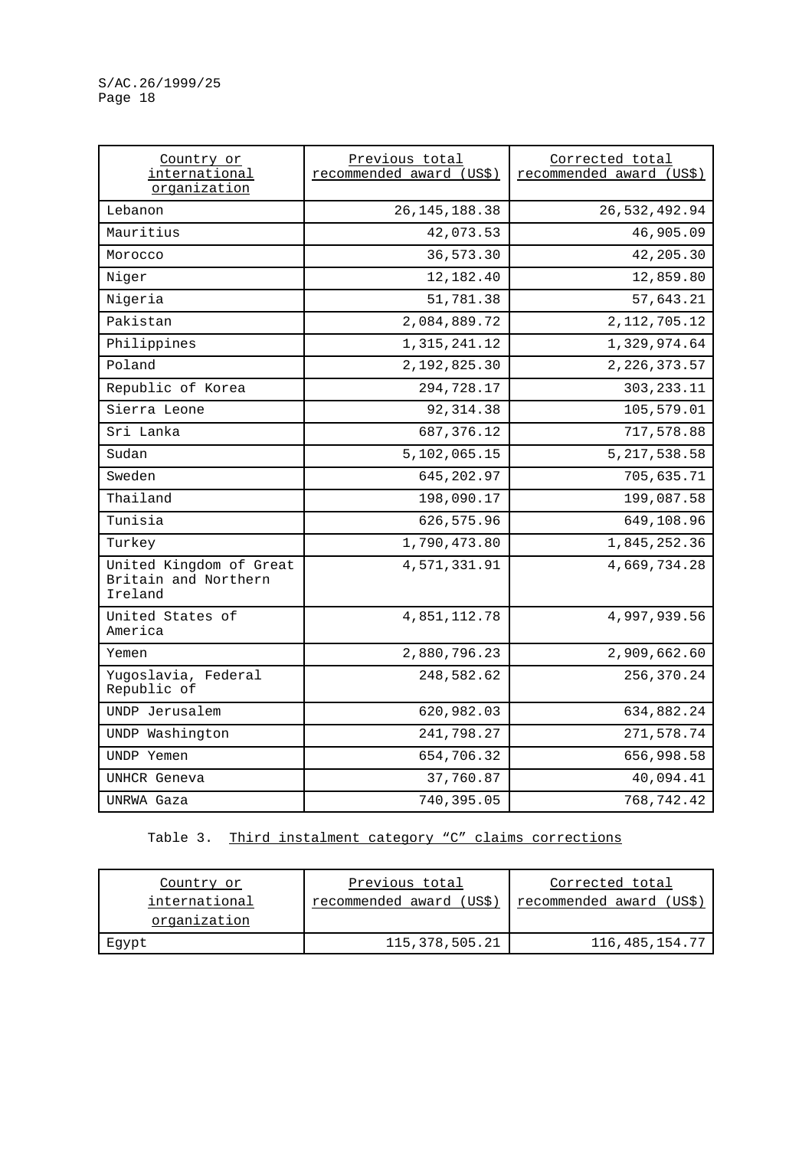| Country or<br>international<br>organization                | Previous total<br>recommended award (US\$) | Corrected total<br>recommended award (US\$) |
|------------------------------------------------------------|--------------------------------------------|---------------------------------------------|
| Lebanon                                                    | 26, 145, 188. 38                           | 26,532,492.94                               |
| Mauritius                                                  | 42,073.53                                  | 46,905.09                                   |
| Morocco                                                    | 36,573.30                                  | 42,205.30                                   |
| Niger                                                      | 12,182.40                                  | 12,859.80                                   |
| Nigeria                                                    | 51,781.38                                  | 57,643.21                                   |
| Pakistan                                                   | 2,084,889.72                               | 2, 112, 705. 12                             |
| Philippines                                                | 1, 315, 241. 12                            | 1,329,974.64                                |
| Poland                                                     | 2,192,825.30                               | 2, 226, 373.57                              |
| Republic of Korea                                          | 294,728.17                                 | 303, 233. 11                                |
| Sierra Leone                                               | 92, 314.38                                 | 105,579.01                                  |
| Sri Lanka                                                  | 687, 376.12                                | 717,578.88                                  |
| Sudan                                                      | 5,102,065.15                               | 5, 217, 538.58                              |
| Sweden                                                     | 645,202.97                                 | 705,635.71                                  |
| Thailand                                                   | 198,090.17                                 | 199,087.58                                  |
| Tunisia                                                    | 626,575.96                                 | 649,108.96                                  |
| Turkey                                                     | 1,790,473.80                               | 1,845,252.36                                |
| United Kingdom of Great<br>Britain and Northern<br>Ireland | 4,571,331.91                               | 4,669,734.28                                |
| United States of<br>America                                | 4,851,112.78                               | 4,997,939.56                                |
| Yemen                                                      | 2,880,796.23                               | 2,909,662.60                                |
| Yugoslavia, Federal<br>Republic of                         | 248,582.62                                 | 256,370.24                                  |
| UNDP Jerusalem                                             | 620,982.03                                 | 634,882.24                                  |
| UNDP Washington                                            | 241,798.27                                 | 271,578.74                                  |
| UNDP Yemen                                                 | 654,706.32                                 | 656,998.58                                  |
| UNHCR Geneva                                               | 37,760.87                                  | 40,094.41                                   |
| UNRWA Gaza                                                 | 740,395.05                                 | 768,742.42                                  |

Table 3. Third instalment category "C" claims corrections

| Country or    | Previous total           | Corrected total             |
|---------------|--------------------------|-----------------------------|
| international | recommended award (US\$) | recommended award<br>(US\$) |
| organization  |                          |                             |
| Eqypt         | 115,378,505.21           | 116, 485, 154.77            |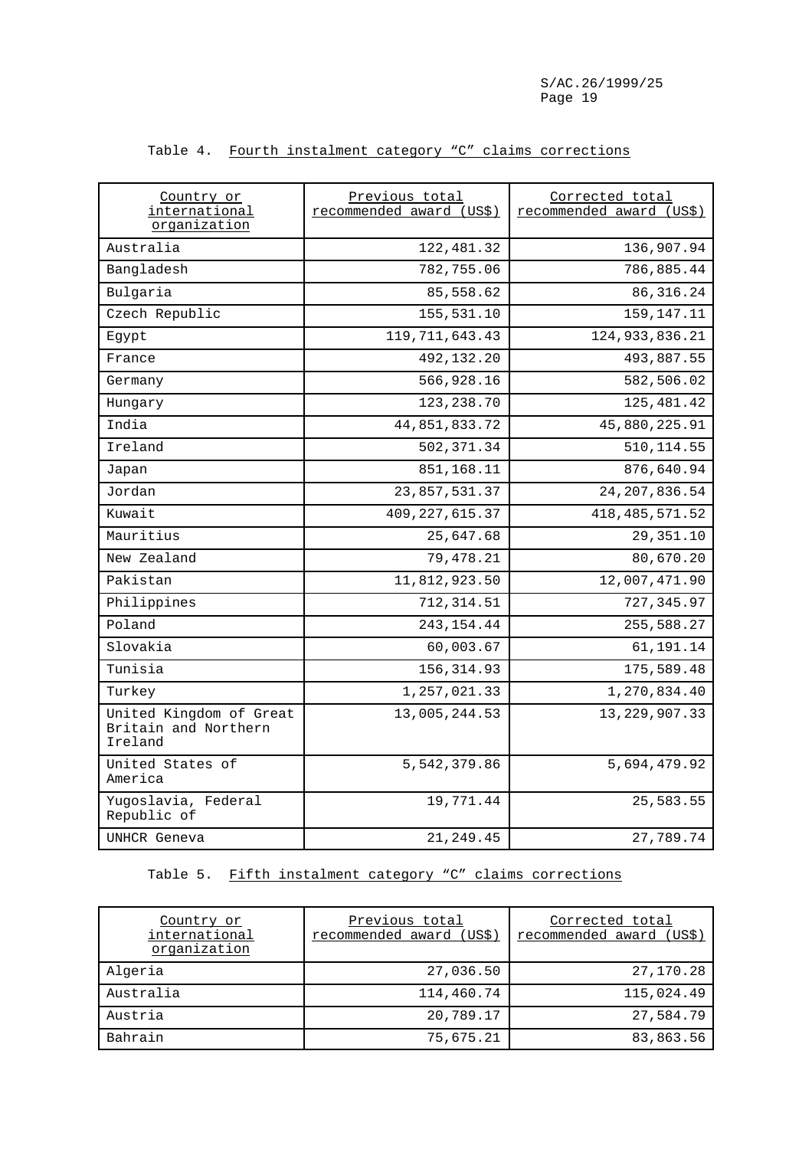| Country or<br>international<br>organization                | Previous total<br>recommended award (US\$) | Corrected total<br>recommended award (US\$) |
|------------------------------------------------------------|--------------------------------------------|---------------------------------------------|
| Australia                                                  | 122,481.32                                 | 136,907.94                                  |
| Bangladesh                                                 | 782,755.06                                 | 786,885.44                                  |
| Bulgaria                                                   | 85,558.62                                  | 86, 316.24                                  |
| Czech Republic                                             | 155,531.10                                 | 159,147.11                                  |
| Egypt                                                      | 119, 711, 643.43                           | 124, 933, 836.21                            |
| France                                                     | 492,132.20                                 | 493,887.55                                  |
| Germany                                                    | 566,928.16                                 | 582,506.02                                  |
| Hungary                                                    | 123,238.70                                 | 125,481.42                                  |
| India                                                      | 44,851,833.72                              | 45,880,225.91                               |
| Ireland                                                    | 502,371.34                                 | 510, 114.55                                 |
| Japan                                                      | 851,168.11                                 | 876,640.94                                  |
| Jordan                                                     | 23,857,531.37                              | 24, 207, 836.54                             |
| Kuwait                                                     | 409, 227, 615.37                           | 418, 485, 571.52                            |
| Mauritius                                                  | 25,647.68                                  | 29, 351.10                                  |
| New Zealand                                                | 79,478.21                                  | 80,670.20                                   |
| Pakistan                                                   | 11,812,923.50                              | 12,007,471.90                               |
| Philippines                                                | 712, 314.51                                | 727, 345.97                                 |
| Poland                                                     | 243, 154.44                                | 255,588.27                                  |
| Slovakia                                                   | 60,003.67                                  | 61,191.14                                   |
| Tunisia                                                    | 156, 314.93                                | 175,589.48                                  |
| Turkey                                                     | 1,257,021.33                               | 1,270,834.40                                |
| United Kingdom of Great<br>Britain and Northern<br>Ireland | 13,005,244.53                              | 13, 229, 907.33                             |
| United States of<br>America                                | 5,542,379.86                               | 5,694,479.92                                |
| Yugoslavia, Federal<br>Republic of                         | 19,771.44                                  | 25,583.55                                   |
| UNHCR Geneva                                               | 21, 249.45                                 | 27,789.74                                   |

# Table 4. Fourth instalment category "C" claims corrections

# Table 5. Fifth instalment category "C" claims corrections

| Country or<br>international<br>organization | Previous total<br>recommended award (US\$) | Corrected total<br>recommended award (US\$) |
|---------------------------------------------|--------------------------------------------|---------------------------------------------|
| Algeria                                     | 27,036.50                                  | 27,170.28                                   |
| Australia                                   | 114,460.74                                 | 115,024.49                                  |
| Austria                                     | 20,789.17                                  | 27,584.79                                   |
| Bahrain                                     | 75,675.21                                  | 83,863.56                                   |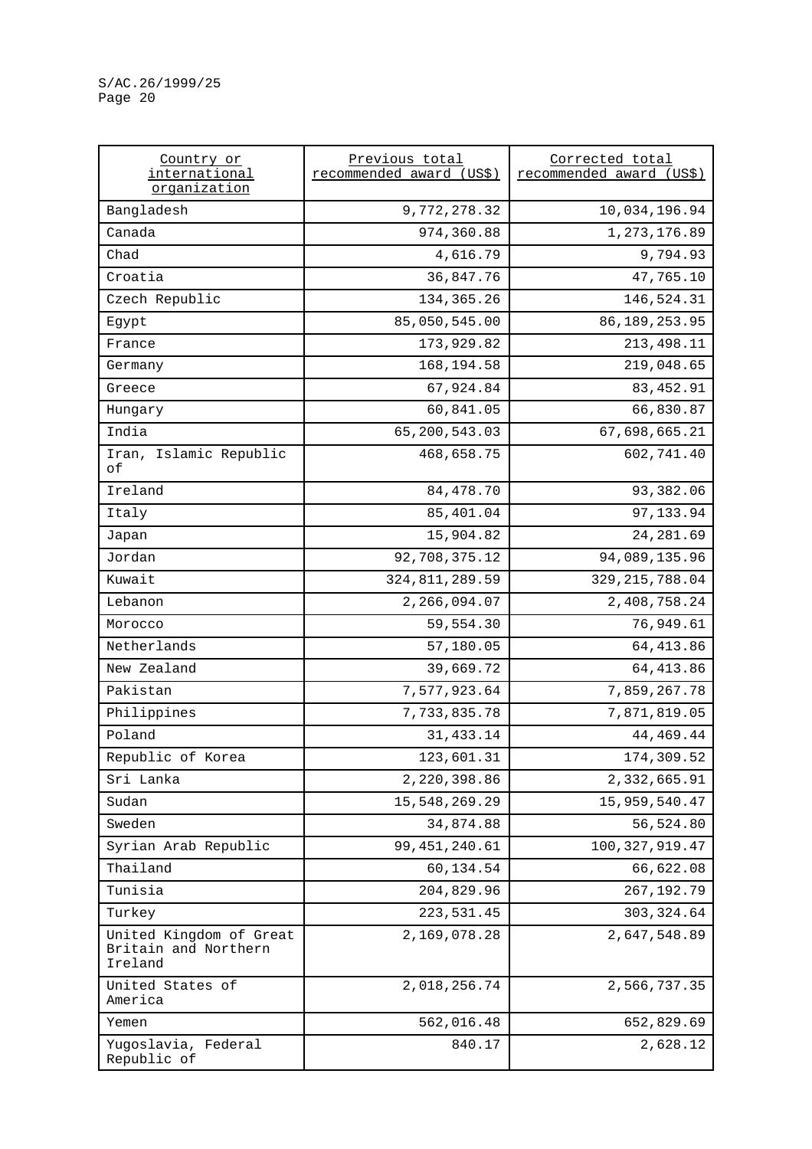| Country or<br>international<br>organization                | Previous total<br>recommended award (US\$) | Corrected total<br>recommended award (US\$) |  |
|------------------------------------------------------------|--------------------------------------------|---------------------------------------------|--|
| Bangladesh                                                 | 9,772,278.32                               | 10,034,196.94                               |  |
| Canada                                                     | 974,360.88                                 | 1,273,176.89                                |  |
| Chad                                                       | 4,616.79                                   | 9,794.93                                    |  |
| Croatia                                                    | 36,847.76                                  | 47,765.10                                   |  |
| Czech Republic                                             | 134, 365. 26                               | 146,524.31                                  |  |
| Egypt                                                      | 85,050,545.00                              | 86, 189, 253.95                             |  |
| France                                                     | 173,929.82                                 | 213,498.11                                  |  |
| Germany                                                    | 168,194.58                                 | 219,048.65                                  |  |
| Greece                                                     | 67,924.84                                  | 83, 452.91                                  |  |
| Hungary                                                    | 60,841.05                                  | 66,830.87                                   |  |
| India                                                      | 65,200,543.03                              | 67,698,665.21                               |  |
| Iran, Islamic Republic<br>оf                               | 468,658.75                                 | 602,741.40                                  |  |
| Ireland                                                    | 84,478.70                                  | 93,382.06                                   |  |
| Italy                                                      | 85,401.04                                  | 97,133.94                                   |  |
| Japan                                                      | 15,904.82                                  | 24, 281.69                                  |  |
| Jordan                                                     | 92,708,375.12                              | 94,089,135.96                               |  |
| Kuwait                                                     | 324, 811, 289.59                           | 329, 215, 788.04                            |  |
| Lebanon                                                    | 2,266,094.07                               | 2,408,758.24                                |  |
| Morocco                                                    | 59,554.30                                  | 76,949.61                                   |  |
| Netherlands                                                | 57,180.05                                  | 64, 413.86                                  |  |
| New Zealand                                                | 39,669.72                                  | 64, 413.86                                  |  |
| Pakistan                                                   | 7,577,923.64                               | 7,859,267.78                                |  |
| Philippines                                                | 7,733,835.78                               | 7,871,819.05                                |  |
| Poland                                                     | 31, 433.14                                 | 44, 469. 44                                 |  |
| Republic of Korea                                          | 123,601.31                                 | 174,309.52                                  |  |
| Sri Lanka                                                  | 2,220,398.86                               | 2,332,665.91                                |  |
| Sudan                                                      | 15,548,269.29                              | 15,959,540.47                               |  |
| Sweden                                                     | 34,874.88                                  | 56,524.80                                   |  |
| Syrian Arab Republic                                       | 99, 451, 240.61                            | 100, 327, 919.47                            |  |
| Thailand                                                   | 60,134.54                                  | 66,622.08                                   |  |
| Tunisia                                                    | 204,829.96                                 | 267, 192. 79                                |  |
| Turkey                                                     | 223, 531.45                                | 303, 324.64                                 |  |
| United Kingdom of Great<br>Britain and Northern<br>Ireland | 2,169,078.28                               | 2,647,548.89                                |  |
| United States of<br>America                                | 2,018,256.74                               | 2,566,737.35                                |  |
| Yemen                                                      | 562,016.48                                 | 652,829.69                                  |  |
| Yugoslavia, Federal<br>Republic of                         | 840.17                                     | 2,628.12                                    |  |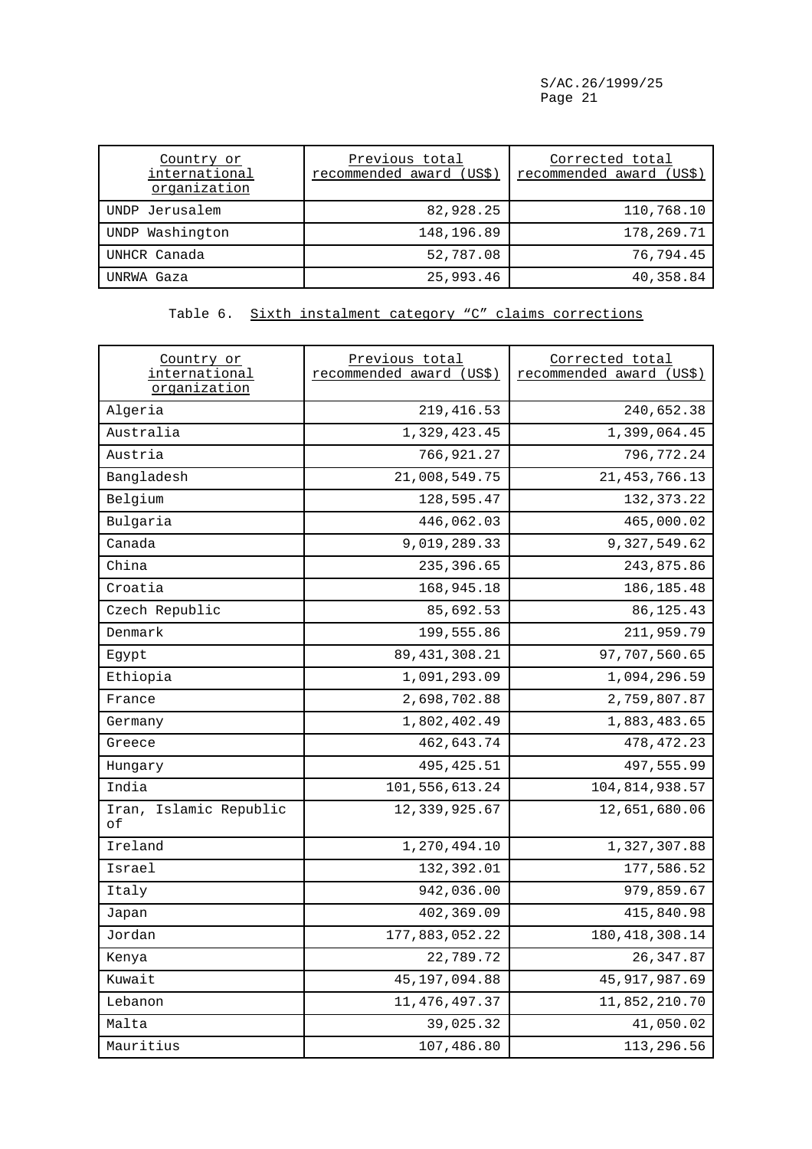| Country or<br>international<br>organization | Previous total<br>recommended award<br>(US\$) | Corrected total<br>recommended award (US\$) |
|---------------------------------------------|-----------------------------------------------|---------------------------------------------|
| UNDP Jerusalem                              | 82,928.25                                     | 110,768.10                                  |
| UNDP Washington                             | 148,196.89                                    | 178,269.71                                  |
| UNHCR Canada                                | 52,787.08                                     | 76,794.45                                   |
| UNRWA Gaza                                  | 25,993.46                                     | 40,358.84                                   |

Table 6. Sixth instalment category "C" claims corrections

| Country or<br>international<br>organization | Previous total<br>recommended award (US\$) | Corrected total<br>recommended award (US\$) |
|---------------------------------------------|--------------------------------------------|---------------------------------------------|
| Algeria                                     | 219, 416.53                                | 240,652.38                                  |
| Australia                                   | 1,329,423.45                               | 1,399,064.45                                |
| Austria                                     | 766,921.27                                 | 796,772.24                                  |
| Bangladesh                                  | 21,008,549.75                              | 21, 453, 766.13                             |
| Belgium                                     | 128,595.47                                 | 132, 373. 22                                |
| Bulgaria                                    | 446,062.03                                 | 465,000.02                                  |
| Canada                                      | 9,019,289.33                               | 9,327,549.62                                |
| China                                       | 235,396.65                                 | 243,875.86                                  |
| Croatia                                     | 168,945.18                                 | 186, 185. 48                                |
| Czech Republic                              | 85,692.53                                  | 86, 125. 43                                 |
| Denmark                                     | 199,555.86                                 | 211,959.79                                  |
| Egypt                                       | 89, 431, 308. 21                           | 97,707,560.65                               |
| Ethiopia                                    | 1,091,293.09                               | 1,094,296.59                                |
| France                                      | 2,698,702.88                               | 2,759,807.87                                |
| Germany                                     | 1,802,402.49                               | 1,883,483.65                                |
| Greece                                      | 462,643.74                                 | 478, 472.23                                 |
| Hungary                                     | 495, 425.51                                | 497,555.99                                  |
| India                                       | 101,556,613.24                             | 104,814,938.57                              |
| Iran, Islamic Republic<br>оf                | 12,339,925.67                              | 12,651,680.06                               |
| Ireland                                     | 1,270,494.10                               | 1,327,307.88                                |
| Israel                                      | 132,392.01                                 | 177,586.52                                  |
| Italy                                       | 942,036.00                                 | 979,859.67                                  |
| Japan                                       | 402,369.09                                 | 415,840.98                                  |
| Jordan                                      | 177,883,052.22                             | 180, 418, 308.14                            |
| Kenya                                       | 22,789.72                                  | 26, 347.87                                  |
| Kuwait                                      | 45, 197, 094.88                            | 45, 917, 987.69                             |
| Lebanon                                     | 11, 476, 497.37                            | 11,852,210.70                               |
| Malta                                       | 39,025.32                                  | 41,050.02                                   |
| Mauritius                                   | 107,486.80                                 | 113,296.56                                  |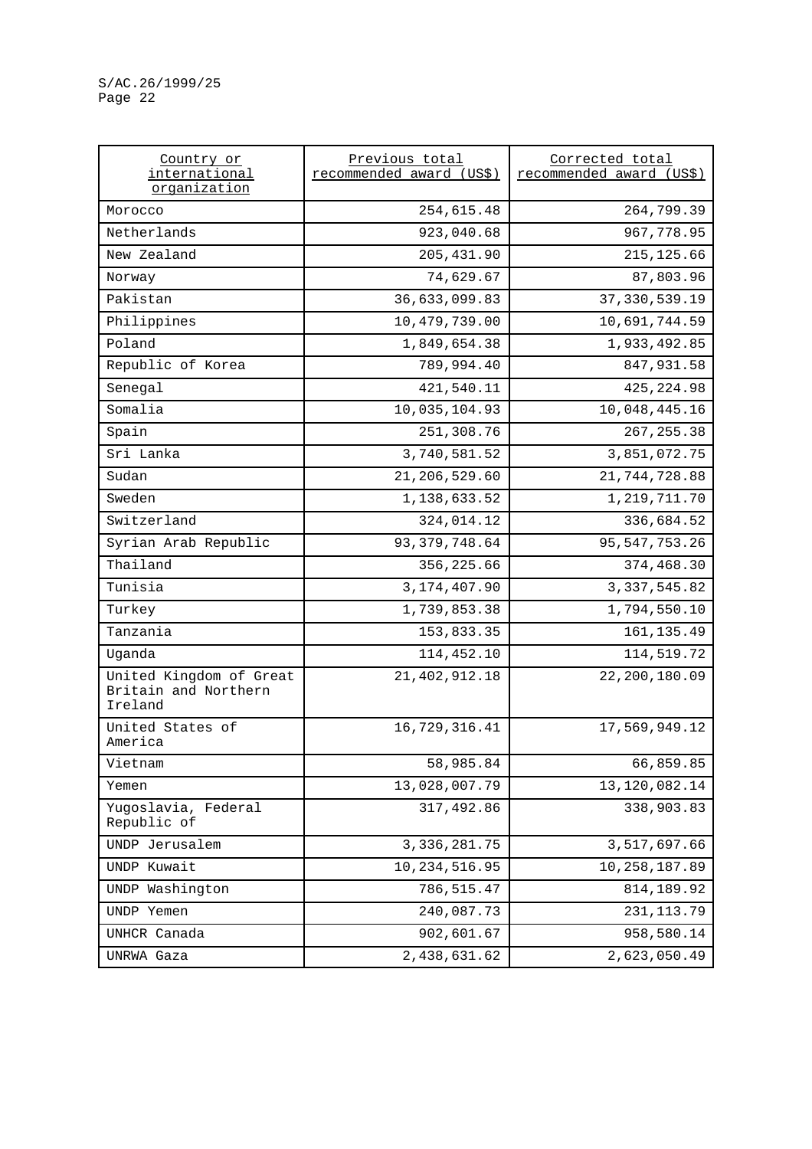| Country or<br>international                                | Previous total<br>recommended award (US\$) | Corrected total<br>recommended award (US\$) |  |
|------------------------------------------------------------|--------------------------------------------|---------------------------------------------|--|
| organization                                               |                                            |                                             |  |
| Morocco                                                    | 254,615.48                                 | 264,799.39                                  |  |
| Netherlands                                                | 923,040.68                                 | 967,778.95                                  |  |
| New Zealand                                                | 205, 431.90                                | 215, 125.66                                 |  |
| Norway                                                     | 74,629.67                                  | 87,803.96                                   |  |
| Pakistan                                                   | 36,633,099.83                              | 37, 330, 539.19                             |  |
| Philippines                                                | 10,479,739.00                              | 10,691,744.59                               |  |
| Poland                                                     | 1,849,654.38                               | 1,933,492.85                                |  |
| Republic of Korea                                          | 789,994.40                                 | 847,931.58                                  |  |
| Senegal                                                    | 421,540.11                                 | 425, 224.98                                 |  |
| Somalia                                                    | 10,035,104.93                              | 10,048,445.16                               |  |
| Spain                                                      | 251,308.76                                 | 267, 255.38                                 |  |
| Sri Lanka                                                  | 3,740,581.52                               | 3,851,072.75                                |  |
| Sudan                                                      | 21,206,529.60                              | 21,744,728.88                               |  |
| Sweden                                                     | 1,138,633.52                               | 1, 219, 711. 70                             |  |
| Switzerland                                                | 324,014.12                                 | 336,684.52                                  |  |
| Syrian Arab Republic                                       | 93, 379, 748.64                            | 95, 547, 753.26                             |  |
| Thailand                                                   | 356,225.66                                 | 374,468.30                                  |  |
| Tunisia                                                    | 3, 174, 407.90                             | 3, 337, 545.82                              |  |
| Turkey                                                     | 1,739,853.38                               | 1,794,550.10                                |  |
| Tanzania                                                   | 153,833.35                                 | 161, 135.49                                 |  |
| Uganda                                                     | 114,452.10                                 | 114,519.72                                  |  |
| United Kingdom of Great<br>Britain and Northern<br>Ireland | 21, 402, 912. 18                           | 22,200,180.09                               |  |
| United States of<br>America                                | 16,729,316.41                              | 17,569,949.12                               |  |
| Vietnam                                                    | 58,985.84                                  | 66,859.85                                   |  |
| Yemen                                                      | 13,028,007.79                              | 13, 120, 082. 14                            |  |
| Yugoslavia, Federal<br>Republic of                         | 317,492.86                                 | 338,903.83                                  |  |
| UNDP Jerusalem                                             | 3, 336, 281.75                             | 3,517,697.66                                |  |
| UNDP Kuwait                                                | 10,234,516.95                              | 10, 258, 187.89                             |  |
| UNDP Washington                                            | 786,515.47                                 | 814, 189. 92                                |  |
| UNDP Yemen                                                 | 240,087.73                                 | 231, 113.79                                 |  |
| UNHCR Canada                                               | 902,601.67                                 | 958,580.14                                  |  |
| UNRWA Gaza                                                 | 2,438,631.62                               | 2,623,050.49                                |  |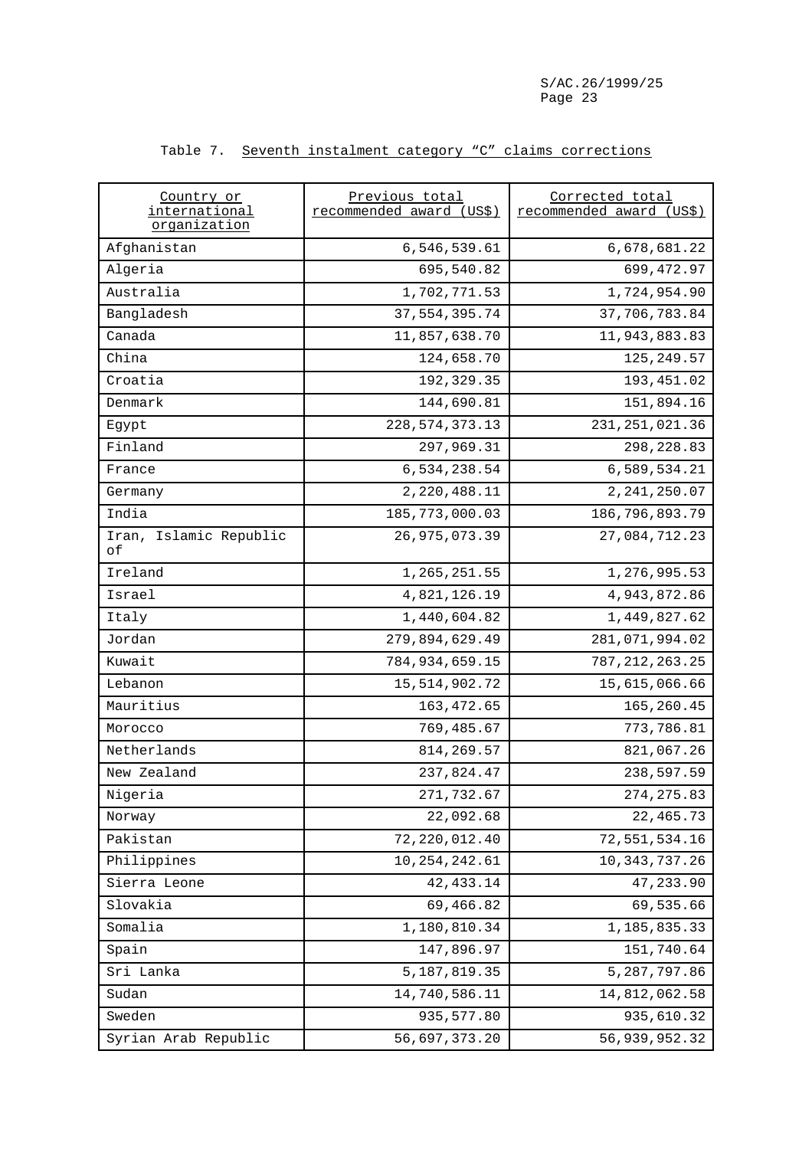| Country or<br>international<br>organization | Previous total<br>recommended award (US\$) | Corrected total<br>recommended award (US\$) |
|---------------------------------------------|--------------------------------------------|---------------------------------------------|
| Afghanistan                                 | 6,546,539.61                               | 6,678,681.22                                |
| Algeria                                     | 695,540.82                                 | 699, 472.97                                 |
| Australia                                   | 1,702,771.53                               | 1,724,954.90                                |
| Bangladesh                                  | 37, 554, 395.74                            | 37,706,783.84                               |
| Canada                                      | 11,857,638.70                              | 11,943,883.83                               |
| China                                       | 124,658.70                                 | 125, 249.57                                 |
| Croatia                                     | 192,329.35                                 | 193,451.02                                  |
| Denmark                                     | 144,690.81                                 | 151,894.16                                  |
| Egypt                                       | 228, 574, 373. 13                          | 231, 251, 021.36                            |
| Finland                                     | 297,969.31                                 | 298, 228.83                                 |
| France                                      | 6,534,238.54                               | 6,589,534.21                                |
| Germany                                     | 2,220,488.11                               | 2, 241, 250.07                              |
| India                                       | 185, 773, 000.03                           | 186,796,893.79                              |
| Iran, Islamic Republic<br>οf                | 26, 975, 073.39                            | 27,084,712.23                               |
| Ireland                                     | 1,265,251.55                               | 1,276,995.53                                |
| Israel                                      | 4,821,126.19                               | 4,943,872.86                                |
| Italy                                       | 1,440,604.82                               | 1,449,827.62                                |
| Jordan                                      | 279,894,629.49                             | 281,071,994.02                              |
| Kuwait                                      | 784, 934, 659.15                           | 787, 212, 263. 25                           |
| Lebanon                                     | 15, 514, 902. 72                           | 15,615,066.66                               |
| Mauritius                                   | 163, 472.65                                | 165,260.45                                  |
| Morocco                                     | 769,485.67                                 | 773,786.81                                  |
| Netherlands                                 | 814, 269.57                                | 821,067.26                                  |
| New Zealand                                 | 237,824.47                                 | 238,597.59                                  |
| Nigeria                                     | 271,732.67                                 | 274, 275.83                                 |
| Norway                                      | 22,092.68                                  | 22, 465.73                                  |
| Pakistan                                    | 72, 220, 012.40                            | 72,551,534.16                               |
| Philippines                                 | 10, 254, 242.61                            | 10, 343, 737.26                             |
| Sierra Leone                                | 42, 433.14                                 | 47,233.90                                   |
| Slovakia                                    | 69,466.82                                  | 69,535.66                                   |
| Somalia                                     | 1,180,810.34                               | 1,185,835.33                                |
| Spain                                       | 147,896.97                                 | 151,740.64                                  |
| Sri Lanka                                   | 5, 187, 819.35                             | 5,287,797.86                                |
| Sudan                                       | 14,740,586.11                              | 14,812,062.58                               |
| Sweden                                      | 935,577.80                                 | 935,610.32                                  |
| Syrian Arab Republic                        | 56,697,373.20                              | 56,939,952.32                               |

### Table 7. Seventh instalment category "C" claims corrections